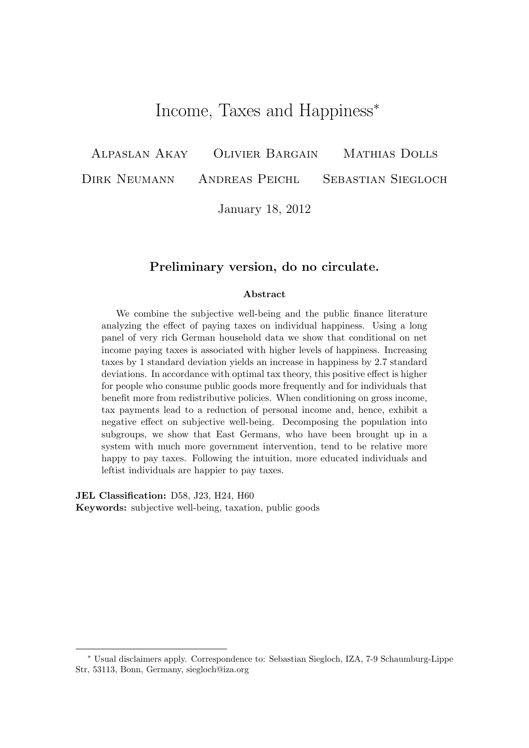# Income, Taxes and Happiness<sup>∗</sup>

Alpaslan Akay Olivier Bargain Mathias Dolls

Dirk Neumann Andreas Peichl Sebastian Siegloch

January 18, 2012

#### Preliminary version, do no circulate.

#### Abstract

We combine the subjective well-being and the public finance literature analyzing the effect of paying taxes on individual happiness. Using a long panel of very rich German household data we show that conditional on net income paying taxes is associated with higher levels of happiness. Increasing taxes by 1 standard deviation yields an increase in happiness by 2.7 standard deviations. In accordance with optimal tax theory, this positive effect is higher for people who consume public goods more frequently and for individuals that benefit more from redistributive policies. When conditioning on gross income, tax payments lead to a reduction of personal income and, hence, exhibit a negative effect on subjective well-being. Decomposing the population into subgroups, we show that East Germans, who have been brought up in a system with much more government intervention, tend to be relative more happy to pay taxes. Following the intuition, more educated individuals and leftist individuals are happier to pay taxes.

JEL Classification: D58, J23, H24, H60

Keywords: subjective well-being, taxation, public goods

<sup>∗</sup> Usual disclaimers apply. Correspondence to: Sebastian Siegloch, IZA, 7-9 Schaumburg-Lippe Str, 53113, Bonn, Germany, siegloch@iza.org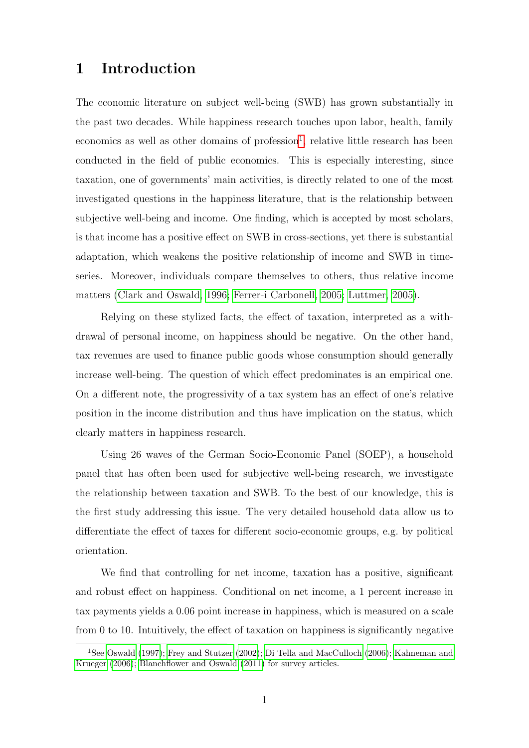### 1 Introduction

The economic literature on subject well-being (SWB) has grown substantially in the past two decades. While happiness research touches upon labor, health, family economics as well as other domains of  $profession<sup>1</sup>$  $profession<sup>1</sup>$  $profession<sup>1</sup>$ , relative little research has been conducted in the field of public economics. This is especially interesting, since taxation, one of governments' main activities, is directly related to one of the most investigated questions in the happiness literature, that is the relationship between subjective well-being and income. One finding, which is accepted by most scholars, is that income has a positive effect on SWB in cross-sections, yet there is substantial adaptation, which weakens the positive relationship of income and SWB in timeseries. Moreover, individuals compare themselves to others, thus relative income matters [\(Clark and Oswald, 1996;](#page-23-0) [Ferrer-i Carbonell, 2005;](#page-23-1) [Luttmer, 2005\)](#page-25-0).

Relying on these stylized facts, the effect of taxation, interpreted as a withdrawal of personal income, on happiness should be negative. On the other hand, tax revenues are used to finance public goods whose consumption should generally increase well-being. The question of which effect predominates is an empirical one. On a different note, the progressivity of a tax system has an effect of one's relative position in the income distribution and thus have implication on the status, which clearly matters in happiness research.

Using 26 waves of the German Socio-Economic Panel (SOEP), a household panel that has often been used for subjective well-being research, we investigate the relationship between taxation and SWB. To the best of our knowledge, this is the first study addressing this issue. The very detailed household data allow us to differentiate the effect of taxes for different socio-economic groups, e.g. by political orientation.

We find that controlling for net income, taxation has a positive, significant and robust effect on happiness. Conditional on net income, a 1 percent increase in tax payments yields a 0.06 point increase in happiness, which is measured on a scale from 0 to 10. Intuitively, the effect of taxation on happiness is significantly negative

<span id="page-1-0"></span><sup>1</sup>See [Oswald](#page-25-1) [\(1997\)](#page-25-1); [Frey and Stutzer](#page-24-0) [\(2002\)](#page-24-0); [Di Tella and MacCulloch](#page-23-2) [\(2006\)](#page-23-2); [Kahneman and](#page-24-1) [Krueger](#page-24-1) [\(2006\)](#page-24-1); [Blanchflower and Oswald](#page-23-3) [\(2011\)](#page-23-3) for survey articles.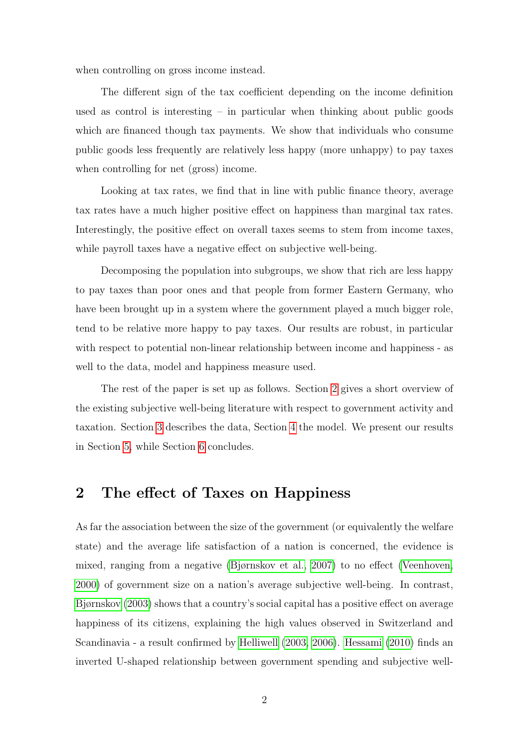when controlling on gross income instead.

The different sign of the tax coefficient depending on the income definition used as control is interesting – in particular when thinking about public goods which are financed though tax payments. We show that individuals who consume public goods less frequently are relatively less happy (more unhappy) to pay taxes when controlling for net (gross) income.

Looking at tax rates, we find that in line with public finance theory, average tax rates have a much higher positive effect on happiness than marginal tax rates. Interestingly, the positive effect on overall taxes seems to stem from income taxes, while payroll taxes have a negative effect on subjective well-being.

Decomposing the population into subgroups, we show that rich are less happy to pay taxes than poor ones and that people from former Eastern Germany, who have been brought up in a system where the government played a much bigger role, tend to be relative more happy to pay taxes. Our results are robust, in particular with respect to potential non-linear relationship between income and happiness - as well to the data, model and happiness measure used.

The rest of the paper is set up as follows. Section [2](#page-2-0) gives a short overview of the existing subjective well-being literature with respect to government activity and taxation. Section [3](#page-4-0) describes the data, Section [4](#page-6-0) the model. We present our results in Section [5,](#page-7-0) while Section [6](#page-21-0) concludes.

### <span id="page-2-0"></span>2 The effect of Taxes on Happiness

As far the association between the size of the government (or equivalently the welfare state) and the average life satisfaction of a nation is concerned, the evidence is mixed, ranging from a negative [\(Bjørnskov et al., 2007\)](#page-23-4) to no effect [\(Veenhoven,](#page-25-2) [2000\)](#page-25-2) of government size on a nation's average subjective well-being. In contrast, [Bjørnskov](#page-23-5) [\(2003\)](#page-23-5) shows that a country's social capital has a positive effect on average happiness of its citizens, explaining the high values observed in Switzerland and Scandinavia - a result confirmed by [Helliwell](#page-24-2) [\(2003,](#page-24-2) [2006\)](#page-24-3). [Hessami](#page-24-4) [\(2010\)](#page-24-4) finds an inverted U-shaped relationship between government spending and subjective well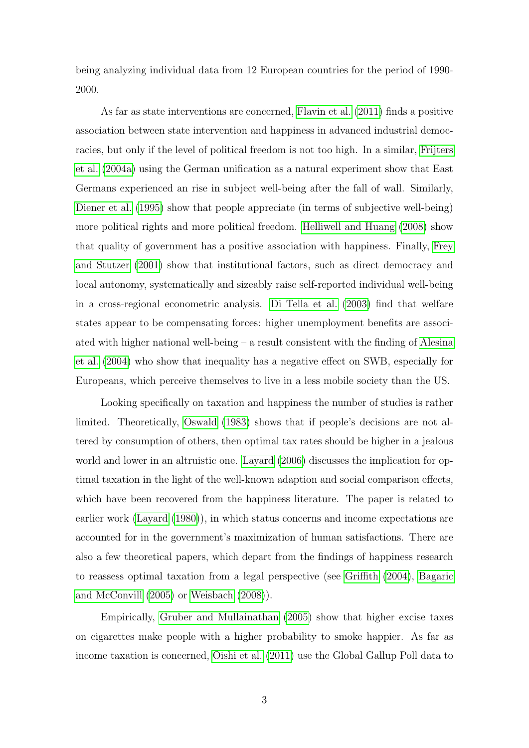being analyzing individual data from 12 European countries for the period of 1990- 2000.

As far as state interventions are concerned, [Flavin et al.](#page-24-5) [\(2011\)](#page-24-5) finds a positive association between state intervention and happiness in advanced industrial democracies, but only if the level of political freedom is not too high. In a similar, [Frijters](#page-24-6) [et al.](#page-24-6) [\(2004a\)](#page-24-6) using the German unification as a natural experiment show that East Germans experienced an rise in subject well-being after the fall of wall. Similarly, [Diener et al.](#page-23-6) [\(1995\)](#page-23-6) show that people appreciate (in terms of subjective well-being) more political rights and more political freedom. [Helliwell and Huang](#page-24-7) [\(2008\)](#page-24-7) show that quality of government has a positive association with happiness. Finally, [Frey](#page-24-8) [and Stutzer](#page-24-8) [\(2001\)](#page-24-8) show that institutional factors, such as direct democracy and local autonomy, systematically and sizeably raise self-reported individual well-being in a cross-regional econometric analysis. [Di Tella et al.](#page-23-7) [\(2003\)](#page-23-7) find that welfare states appear to be compensating forces: higher unemployment benefits are associated with higher national well-being – a result consistent with the finding of [Alesina](#page-23-8) [et al.](#page-23-8) [\(2004\)](#page-23-8) who show that inequality has a negative effect on SWB, especially for Europeans, which perceive themselves to live in a less mobile society than the US.

Looking specifically on taxation and happiness the number of studies is rather limited. Theoretically, [Oswald](#page-25-3) [\(1983\)](#page-25-3) shows that if people's decisions are not altered by consumption of others, then optimal tax rates should be higher in a jealous world and lower in an altruistic one. [Layard](#page-25-4) [\(2006\)](#page-25-4) discusses the implication for optimal taxation in the light of the well-known adaption and social comparison effects, which have been recovered from the happiness literature. The paper is related to earlier work [\(Layard](#page-24-9) [\(1980\)](#page-24-9)), in which status concerns and income expectations are accounted for in the government's maximization of human satisfactions. There are also a few theoretical papers, which depart from the findings of happiness research to reassess optimal taxation from a legal perspective (see [Griffith](#page-24-10) [\(2004\)](#page-24-10), [Bagaric](#page-23-9) [and McConvill](#page-23-9) [\(2005\)](#page-23-9) or [Weisbach](#page-25-5) [\(2008\)](#page-25-5)).

Empirically, [Gruber and Mullainathan](#page-24-11) [\(2005\)](#page-24-11) show that higher excise taxes on cigarettes make people with a higher probability to smoke happier. As far as income taxation is concerned, [Oishi et al.](#page-25-6) [\(2011\)](#page-25-6) use the Global Gallup Poll data to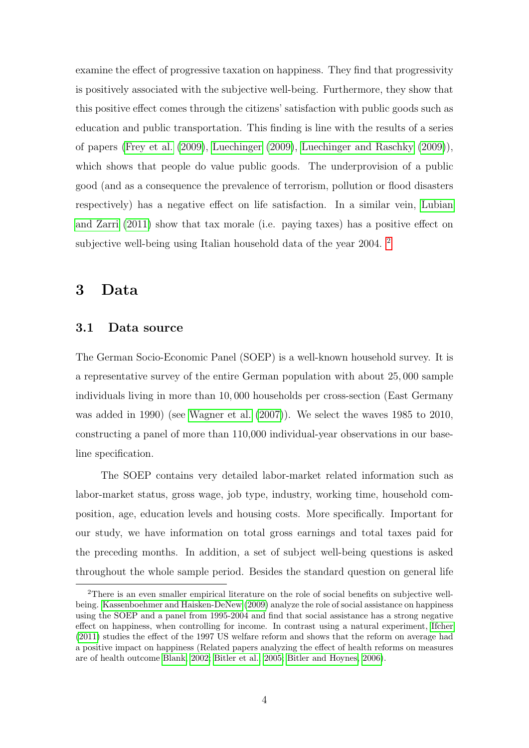examine the effect of progressive taxation on happiness. They find that progressivity is positively associated with the subjective well-being. Furthermore, they show that this positive effect comes through the citizens' satisfaction with public goods such as education and public transportation. This finding is line with the results of a series of papers [\(Frey et al.](#page-24-12) [\(2009\)](#page-24-12), [Luechinger](#page-25-7) [\(2009\)](#page-25-7), [Luechinger and Raschky](#page-25-8) [\(2009\)](#page-25-8)), which shows that people do value public goods. The underprovision of a public good (and as a consequence the prevalence of terrorism, pollution or flood disasters respectively) has a negative effect on life satisfaction. In a similar vein, [Lubian](#page-25-9) [and Zarri](#page-25-9) [\(2011\)](#page-25-9) show that tax morale (i.e. paying taxes) has a positive effect on subjective well-being using Italian household data of the year 2004. [2](#page-4-1)

### <span id="page-4-0"></span>3 Data

#### 3.1 Data source

The German Socio-Economic Panel (SOEP) is a well-known household survey. It is a representative survey of the entire German population with about 25, 000 sample individuals living in more than 10, 000 households per cross-section (East Germany was added in 1990) (see [Wagner et al.](#page-25-10) [\(2007\)](#page-25-10)). We select the waves 1985 to 2010, constructing a panel of more than 110,000 individual-year observations in our baseline specification.

The SOEP contains very detailed labor-market related information such as labor-market status, gross wage, job type, industry, working time, household composition, age, education levels and housing costs. More specifically. Important for our study, we have information on total gross earnings and total taxes paid for the preceding months. In addition, a set of subject well-being questions is asked throughout the whole sample period. Besides the standard question on general life

<span id="page-4-1"></span><sup>2</sup>There is an even smaller empirical literature on the role of social benefits on subjective wellbeing. [Kassenboehmer and Haisken-DeNew](#page-24-13) [\(2009\)](#page-24-13) analyze the role of social assistance on happiness using the SOEP and a panel from 1995-2004 and find that social assistance has a strong negative effect on happiness, when controlling for income. In contrast using a natural experiment, [Ifcher](#page-24-14) [\(2011\)](#page-24-14) studies the effect of the 1997 US welfare reform and shows that the reform on average had a positive impact on happiness (Related papers analyzing the effect of health reforms on measures are of health outcome [Blank, 2002;](#page-23-10) [Bitler et al., 2005;](#page-23-11) [Bitler and Hoynes, 2006\)](#page-23-12).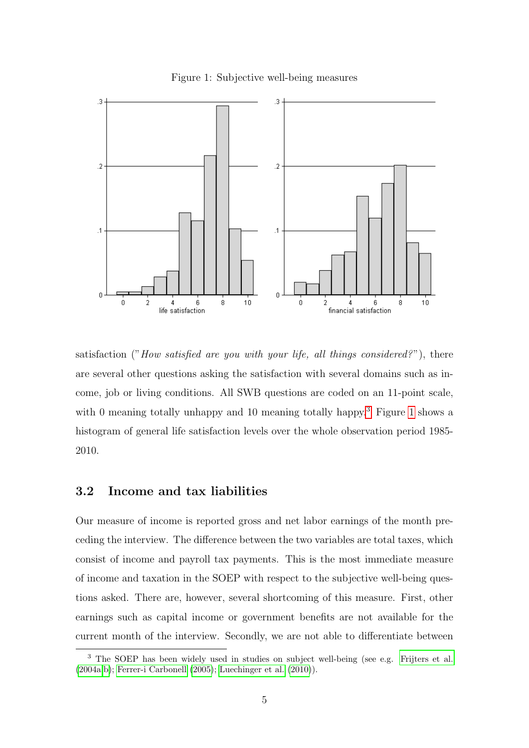

<span id="page-5-1"></span>Figure 1: Subjective well-being measures

satisfaction ("How satisfied are you with your life, all things considered?"), there are several other questions asking the satisfaction with several domains such as income, job or living conditions. All SWB questions are coded on an 11-point scale, with 0 meaning totally unhappy and 10 meaning totally happy.<sup>[3](#page-5-0)</sup> Figure [1](#page-5-1) shows a histogram of general life satisfaction levels over the whole observation period 1985- 2010.

#### 3.2 Income and tax liabilities

Our measure of income is reported gross and net labor earnings of the month preceding the interview. The difference between the two variables are total taxes, which consist of income and payroll tax payments. This is the most immediate measure of income and taxation in the SOEP with respect to the subjective well-being questions asked. There are, however, several shortcoming of this measure. First, other earnings such as capital income or government benefits are not available for the current month of the interview. Secondly, we are not able to differentiate between

<span id="page-5-0"></span><sup>3</sup> The SOEP has been widely used in studies on subject well-being (see e.g. [Frijters et al.](#page-24-6) [\(2004a,](#page-24-6)[b\)](#page-24-15); [Ferrer-i Carbonell](#page-23-1) [\(2005\)](#page-23-1); [Luechinger et al.](#page-25-11) [\(2010\)](#page-25-11)).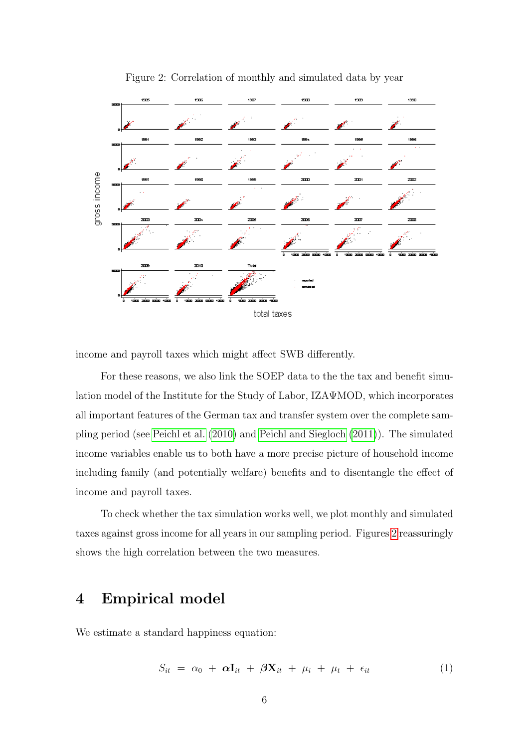

<span id="page-6-1"></span>Figure 2: Correlation of monthly and simulated data by year

income and payroll taxes which might affect SWB differently.

For these reasons, we also link the SOEP data to the the tax and benefit simulation model of the Institute for the Study of Labor, IZAΨMOD, which incorporates all important features of the German tax and transfer system over the complete sampling period (see [Peichl et al.](#page-25-12) [\(2010\)](#page-25-12) and [Peichl and Siegloch](#page-25-13) [\(2011\)](#page-25-13)). The simulated income variables enable us to both have a more precise picture of household income including family (and potentially welfare) benefits and to disentangle the effect of income and payroll taxes.

To check whether the tax simulation works well, we plot monthly and simulated taxes against gross income for all years in our sampling period. Figures [2](#page-6-1) reassuringly shows the high correlation between the two measures.

### <span id="page-6-0"></span>4 Empirical model

We estimate a standard happiness equation:

<span id="page-6-2"></span>
$$
S_{it} = \alpha_0 + \alpha \mathbf{I}_{it} + \beta \mathbf{X}_{it} + \mu_i + \mu_t + \epsilon_{it} \tag{1}
$$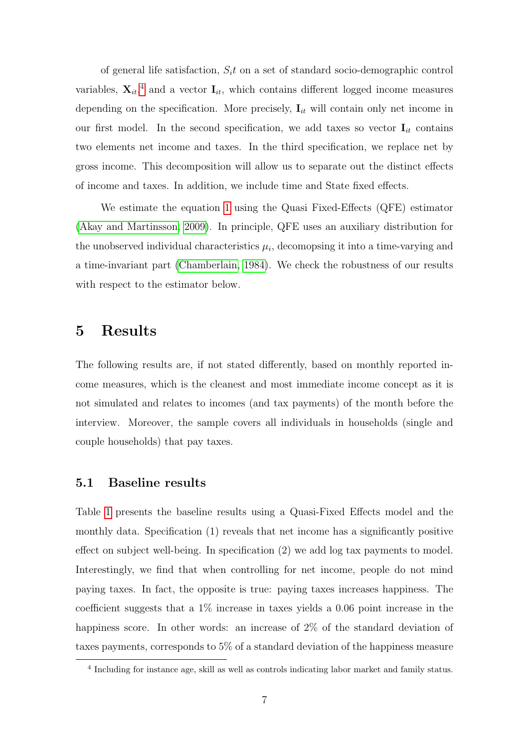of general life satisfaction,  $S<sub>i</sub>t$  on a set of standard socio-demographic control variables,  $\mathbf{X}_{it}$ ,<sup>[4](#page-7-1)</sup> and a vector  $\mathbf{I}_{it}$ , which contains different logged income measures depending on the specification. More precisely,  $I_{it}$  will contain only net income in our first model. In the second specification, we add taxes so vector  $I_{it}$  contains two elements net income and taxes. In the third specification, we replace net by gross income. This decomposition will allow us to separate out the distinct effects of income and taxes. In addition, we include time and State fixed effects.

We estimate the equation [1](#page-6-2) using the Quasi Fixed-Effects (QFE) estimator [\(Akay and Martinsson, 2009\)](#page-23-13). In principle, QFE uses an auxiliary distribution for the unobserved individual characteristics  $\mu_i$ , decomopsing it into a time-varying and a time-invariant part [\(Chamberlain, 1984\)](#page-23-14). We check the robustness of our results with respect to the estimator below.

### <span id="page-7-0"></span>5 Results

The following results are, if not stated differently, based on monthly reported income measures, which is the cleanest and most immediate income concept as it is not simulated and relates to incomes (and tax payments) of the month before the interview. Moreover, the sample covers all individuals in households (single and couple households) that pay taxes.

#### 5.1 Baseline results

Table [1](#page-8-0) presents the baseline results using a Quasi-Fixed Effects model and the monthly data. Specification (1) reveals that net income has a significantly positive effect on subject well-being. In specification (2) we add log tax payments to model. Interestingly, we find that when controlling for net income, people do not mind paying taxes. In fact, the opposite is true: paying taxes increases happiness. The coefficient suggests that a 1% increase in taxes yields a 0.06 point increase in the happiness score. In other words: an increase of 2\% of the standard deviation of taxes payments, corresponds to 5% of a standard deviation of the happiness measure

<span id="page-7-1"></span><sup>&</sup>lt;sup>4</sup> Including for instance age, skill as well as controls indicating labor market and family status.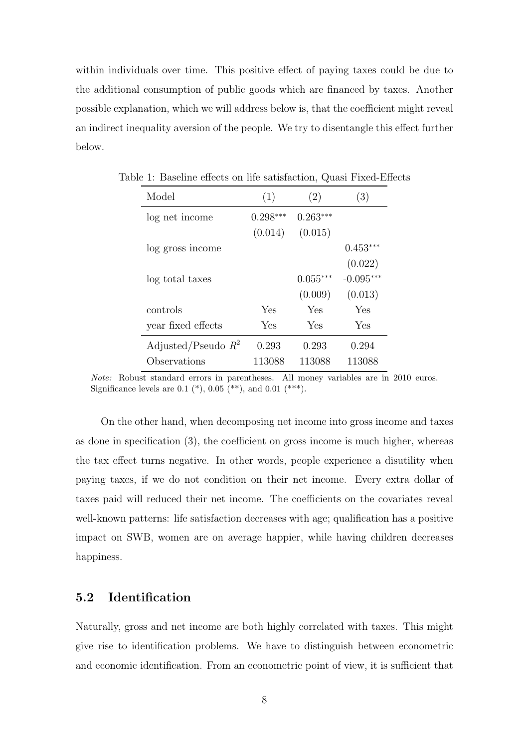within individuals over time. This positive effect of paying taxes could be due to the additional consumption of public goods which are financed by taxes. Another possible explanation, which we will address below is, that the coefficient might reveal an indirect inequality aversion of the people. We try to disentangle this effect further below.

<span id="page-8-0"></span>

| Model                 | (1)        | (2)        | (3)         |
|-----------------------|------------|------------|-------------|
| log net income        | $0.298***$ | $0.263***$ |             |
|                       | (0.014)    | (0.015)    |             |
| log gross income      |            |            | $0.453***$  |
|                       |            |            | (0.022)     |
| log total taxes       |            | $0.055***$ | $-0.095***$ |
|                       |            | (0.009)    | (0.013)     |
| controls              | Yes        | Yes        | Yes         |
| year fixed effects    | Yes        | Yes        | Yes         |
| Adjusted/Pseudo $R^2$ | 0.293      | 0.293      | 0.294       |
| Observations          | 113088     | 113088     | 113088      |

Table 1: Baseline effects on life satisfaction, Quasi Fixed-Effects

On the other hand, when decomposing net income into gross income and taxes as done in specification (3), the coefficient on gross income is much higher, whereas the tax effect turns negative. In other words, people experience a disutility when paying taxes, if we do not condition on their net income. Every extra dollar of taxes paid will reduced their net income. The coefficients on the covariates reveal well-known patterns: life satisfaction decreases with age; qualification has a positive impact on SWB, women are on average happier, while having children decreases happiness.

### 5.2 Identification

Naturally, gross and net income are both highly correlated with taxes. This might give rise to identification problems. We have to distinguish between econometric and economic identification. From an econometric point of view, it is sufficient that

Note: Robust standard errors in parentheses. All money variables are in 2010 euros. Significance levels are 0.1  $(*)$ , 0.05  $(**)$ , and 0.01  $(***)$ .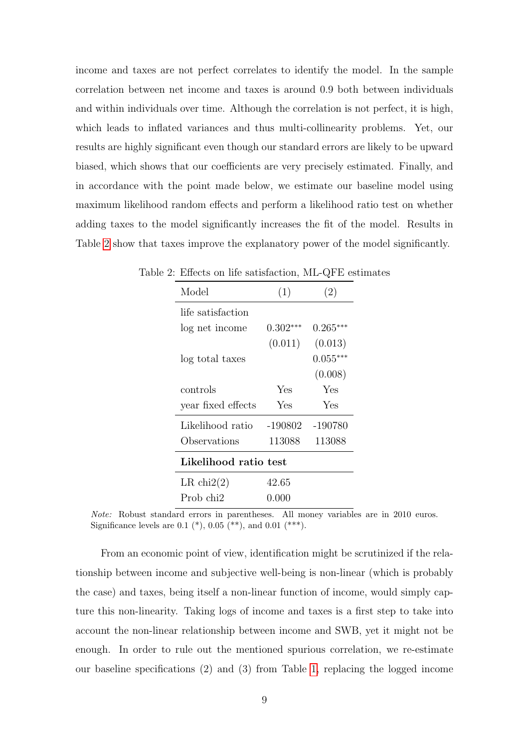income and taxes are not perfect correlates to identify the model. In the sample correlation between net income and taxes is around 0.9 both between individuals and within individuals over time. Although the correlation is not perfect, it is high, which leads to inflated variances and thus multi-collinearity problems. Yet, our results are highly significant even though our standard errors are likely to be upward biased, which shows that our coefficients are very precisely estimated. Finally, and in accordance with the point made below, we estimate our baseline model using maximum likelihood random effects and perform a likelihood ratio test on whether adding taxes to the model significantly increases the fit of the model. Results in Table [2](#page-9-0) show that taxes improve the explanatory power of the model significantly.

<span id="page-9-0"></span>

| Model                 | (1)        | (2)        |
|-----------------------|------------|------------|
| life satisfaction     |            |            |
| log net income        | $0.302***$ | $0.265***$ |
|                       | (0.011)    | (0.013)    |
| log total taxes       |            | $0.055***$ |
|                       |            | (0.008)    |
| controls              | Yes        | Yes        |
| year fixed effects    | Yes        | Yes        |
| Likelihood ratio      | -190802    | -190780    |
| Observations          | 113088     | 113088     |
| Likelihood ratio test |            |            |
| LR $\text{chi}(2)$    | 42.65      |            |
| Prob chi <sub>2</sub> | $0.000\,$  |            |

Table 2: Effects on life satisfaction, ML-QFE estimates

Note: Robust standard errors in parentheses. All money variables are in 2010 euros. Significance levels are 0.1  $(*)$ , 0.05  $(**)$ , and 0.01  $(***)$ .

From an economic point of view, identification might be scrutinized if the relationship between income and subjective well-being is non-linear (which is probably the case) and taxes, being itself a non-linear function of income, would simply capture this non-linearity. Taking logs of income and taxes is a first step to take into account the non-linear relationship between income and SWB, yet it might not be enough. In order to rule out the mentioned spurious correlation, we re-estimate our baseline specifications (2) and (3) from Table [1,](#page-8-0) replacing the logged income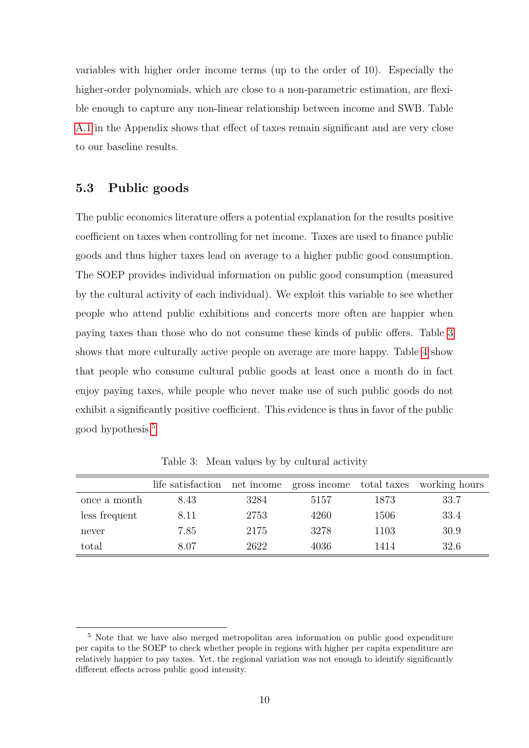variables with higher order income terms (up to the order of 10). Especially the higher-order polynomials, which are close to a non-parametric estimation, are flexible enough to capture any non-linear relationship between income and SWB. Table [A.1](#page-8-0) in the Appendix shows that effect of taxes remain significant and are very close to our baseline results.

#### 5.3 Public goods

The public economics literature offers a potential explanation for the results positive coefficient on taxes when controlling for net income. Taxes are used to finance public goods and thus higher taxes lead on average to a higher public good consumption. The SOEP provides individual information on public good consumption (measured by the cultural activity of each individual). We exploit this variable to see whether people who attend public exhibitions and concerts more often are happier when paying taxes than those who do not consume these kinds of public offers. Table [3](#page-10-0) shows that more culturally active people on average are more happy. Table [4](#page-11-0) show that people who consume cultural public goods at least once a month do in fact enjoy paying taxes, while people who never make use of such public goods do not exhibit a significantly positive coefficient. This evidence is thus in favor of the public good hypothesis.[5](#page-10-1)

|               | life satisfaction |      | net income gross income total taxes |      | working hours |
|---------------|-------------------|------|-------------------------------------|------|---------------|
| once a month  | 8.43              | 3284 | 5157                                | 1873 | 33.7          |
| less frequent | 8.11              | 2753 | 4260                                | 1506 | 33.4          |
| never         | 7.85              | 2175 | 3278                                | 1103 | 30.9          |
| total         | 8.07              | 2622 | 4036                                | 1414 | 32.6          |

<span id="page-10-0"></span>Table 3: Mean values by by cultural activity

<span id="page-10-1"></span><sup>&</sup>lt;sup>5</sup> Note that we have also merged metropolitan area information on public good expenditure per capita to the SOEP to check whether people in regions with higher per capita expenditure are relatively happier to pay taxes. Yet, the regional variation was not enough to identify significantly different effects across public good intensity.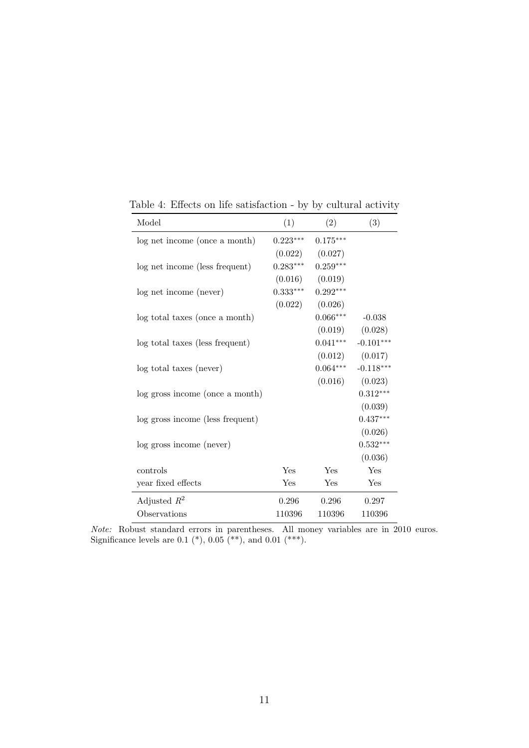| Model                            | (1)        | (2)                 | (3)                    |
|----------------------------------|------------|---------------------|------------------------|
| log net income (once a month)    | $0.223***$ | $0.175***$          |                        |
|                                  | (0.022)    | (0.027)             |                        |
| log net income (less frequent)   | $0.283***$ | $0.259***$          |                        |
|                                  |            | $(0.016)$ $(0.019)$ |                        |
| log net income (never)           | $0.333***$ | $0.292***$          |                        |
|                                  | (0.022)    | (0.026)             |                        |
| log total taxes (once a month)   |            | $0.066***$          | $-0.038$               |
|                                  |            |                     | $(0.019)$ $(0.028)$    |
| log total taxes (less frequent)  |            |                     | $0.041***$ $-0.101***$ |
|                                  |            | (0.012)             | (0.017)                |
| log total taxes (never)          |            | $0.064***$          | $-0.118***$            |
|                                  |            | (0.016)             | (0.023)                |
| log gross income (once a month)  |            |                     | $0.312***$             |
|                                  |            |                     | (0.039)                |
| log gross income (less frequent) |            |                     | $0.437***$             |
|                                  |            |                     | (0.026)                |
| log gross income (never)         |            |                     | $0.532***$             |
|                                  |            |                     | (0.036)                |
| controls                         | Yes        | Yes                 | Yes                    |
| year fixed effects               | Yes        | Yes                 | Yes                    |
| Adjusted $R^2$                   | 0.296      | 0.296               | 0.297                  |
| Observations                     | 110396     | 110396              | 110396                 |

<span id="page-11-0"></span>Table 4: Effects on life satisfaction - by by cultural activity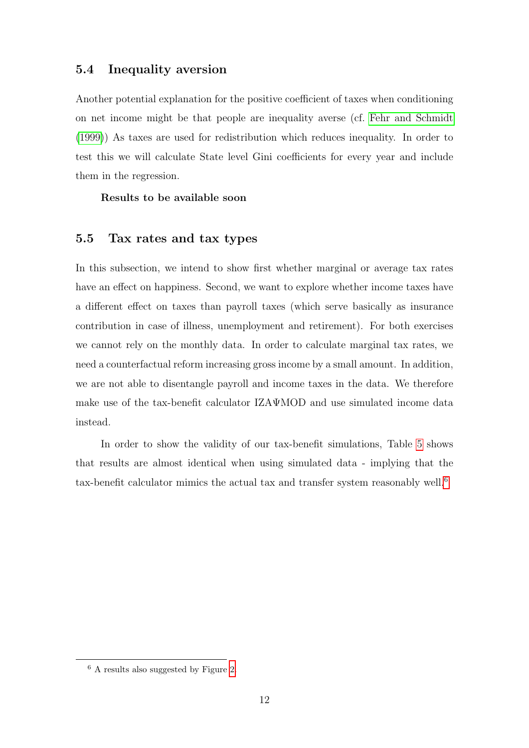#### 5.4 Inequality aversion

Another potential explanation for the positive coefficient of taxes when conditioning on net income might be that people are inequality averse (cf. [Fehr and Schmidt](#page-23-15) [\(1999\)](#page-23-15)) As taxes are used for redistribution which reduces inequality. In order to test this we will calculate State level Gini coefficients for every year and include them in the regression.

Results to be available soon

#### 5.5 Tax rates and tax types

In this subsection, we intend to show first whether marginal or average tax rates have an effect on happiness. Second, we want to explore whether income taxes have a different effect on taxes than payroll taxes (which serve basically as insurance contribution in case of illness, unemployment and retirement). For both exercises we cannot rely on the monthly data. In order to calculate marginal tax rates, we need a counterfactual reform increasing gross income by a small amount. In addition, we are not able to disentangle payroll and income taxes in the data. We therefore make use of the tax-benefit calculator IZAΨMOD and use simulated income data instead.

In order to show the validity of our tax-benefit simulations, Table [5](#page-13-0) shows that results are almost identical when using simulated data - implying that the tax-benefit calculator mimics the actual tax and transfer system reasonably well.<sup>[6](#page-12-0)</sup>

<span id="page-12-0"></span><sup>6</sup> A results also suggested by Figure [2.](#page-6-1)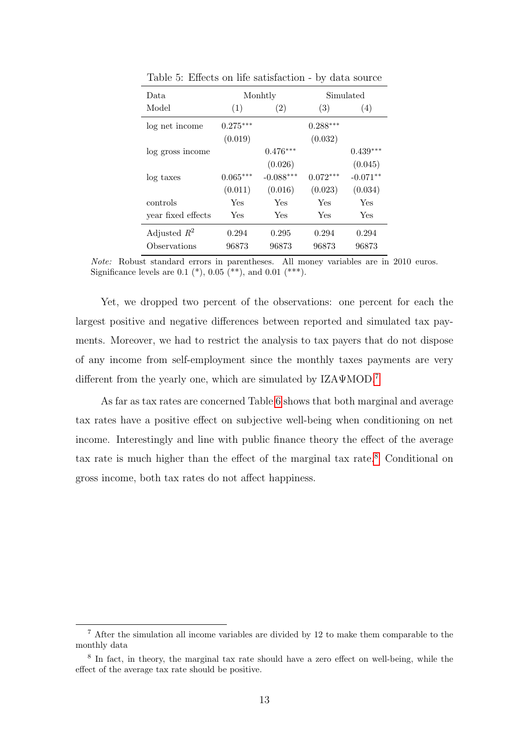| Data.              |            | Monhtly     |            | Simulated  |
|--------------------|------------|-------------|------------|------------|
| Model              | (1)        | (2)         | (3)        | (4)        |
| log net income     | $0.275***$ |             | $0.288***$ |            |
|                    | (0.019)    |             | (0.032)    |            |
| log gross income   |            | $0.476***$  |            | $0.439***$ |
|                    |            | (0.026)     |            | (0.045)    |
| log taxes          | $0.065***$ | $-0.088***$ | $0.072***$ | $-0.071**$ |
|                    | (0.011)    | (0.016)     | (0.023)    | (0.034)    |
| controls           | Yes        | Yes         | Yes        | Yes        |
| vear fixed effects | Yes        | Yes         | Yes        | Yes        |
| Adjusted $R^2$     | 0.294      | 0.295       | 0.294      | 0.294      |
| Observations       | 96873      | 96873       | 96873      | 96873      |

<span id="page-13-0"></span>Table 5: Effects on life satisfaction - by data source

Yet, we dropped two percent of the observations: one percent for each the largest positive and negative differences between reported and simulated tax payments. Moreover, we had to restrict the analysis to tax payers that do not dispose of any income from self-employment since the monthly taxes payments are very different from the yearly one, which are simulated by IZAΨMOD.<sup>[7](#page-13-1)</sup>

As far as tax rates are concerned Table [6](#page-14-0) shows that both marginal and average tax rates have a positive effect on subjective well-being when conditioning on net income. Interestingly and line with public finance theory the effect of the average tax rate is much higher than the effect of the marginal tax rate.<sup>[8](#page-13-2)</sup> Conditional on gross income, both tax rates do not affect happiness.

<span id="page-13-1"></span><sup>7</sup> After the simulation all income variables are divided by 12 to make them comparable to the monthly data

<span id="page-13-2"></span><sup>&</sup>lt;sup>8</sup> In fact, in theory, the marginal tax rate should have a zero effect on well-being, while the effect of the average tax rate should be positive.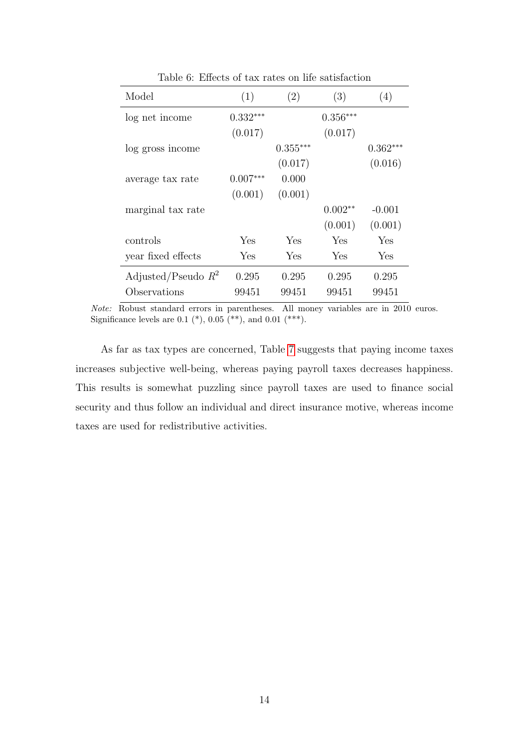| Model                 | (1)        | (2)        | (3)        | (4)        |
|-----------------------|------------|------------|------------|------------|
| log net income        | $0.332***$ |            | $0.356***$ |            |
|                       | (0.017)    |            | (0.017)    |            |
| log gross income      |            | $0.355***$ |            | $0.362***$ |
|                       |            | (0.017)    |            | (0.016)    |
| average tax rate      | $0.007***$ | 0.000      |            |            |
|                       | (0.001)    | (0.001)    |            |            |
| marginal tax rate     |            |            | $0.002**$  | $-0.001$   |
|                       |            |            | (0.001)    | (0.001)    |
| controls              | Yes        | Yes        | Yes        | Yes        |
| year fixed effects    | Yes        | Yes        | Yes        | Yes        |
| Adjusted/Pseudo $R^2$ | 0.295      | 0.295      | 0.295      | 0.295      |
| Observations          | 99451      | 99451      | 99451      | 99451      |

<span id="page-14-0"></span>Table 6: Effects of tax rates on life satisfaction

As far as tax types are concerned, Table [7](#page-15-0) suggests that paying income taxes increases subjective well-being, whereas paying payroll taxes decreases happiness. This results is somewhat puzzling since payroll taxes are used to finance social security and thus follow an individual and direct insurance motive, whereas income taxes are used for redistributive activities.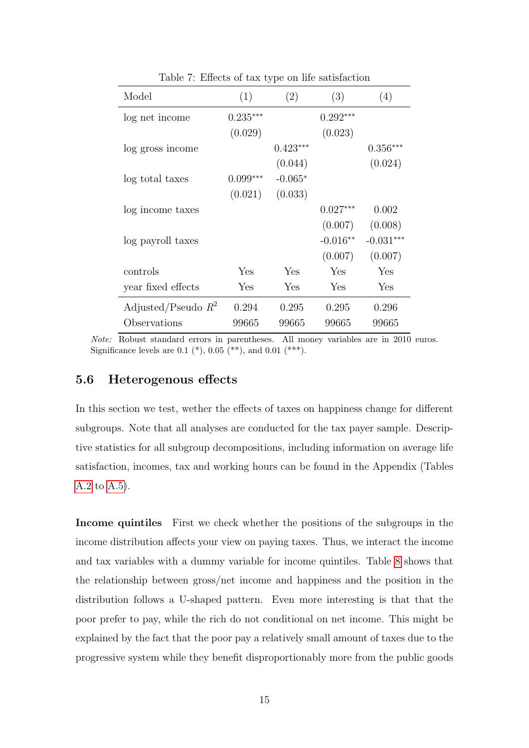| Model                 | (1)        | (2)        | (3)        | (4)         |
|-----------------------|------------|------------|------------|-------------|
| log net income        | $0.235***$ |            | $0.292***$ |             |
|                       | (0.029)    |            | (0.023)    |             |
| log gross income      |            | $0.423***$ |            | $0.356***$  |
|                       |            | (0.044)    |            | (0.024)     |
| log total taxes       | $0.099***$ | $-0.065*$  |            |             |
|                       | (0.021)    | (0.033)    |            |             |
| log income taxes      |            |            | $0.027***$ | 0.002       |
|                       |            |            | (0.007)    | (0.008)     |
| log payroll taxes     |            |            | $-0.016**$ | $-0.031***$ |
|                       |            |            | (0.007)    | (0.007)     |
| controls              | Yes        | Yes        | Yes        | Yes         |
| year fixed effects    | Yes        | Yes        | Yes        | Yes         |
| Adjusted/Pseudo $R^2$ | 0.294      | 0.295      | 0.295      | 0.296       |
| Observations          | 99665      | 99665      | 99665      | 99665       |

<span id="page-15-0"></span>Table 7: Effects of tax type on life satisfaction

#### 5.6 Heterogenous effects

In this section we test, wether the effects of taxes on happiness change for different subgroups. Note that all analyses are conducted for the tax payer sample. Descriptive statistics for all subgroup decompositions, including information on average life satisfaction, incomes, tax and working hours can be found in the Appendix (Tables [A.2](#page-9-0) to [A.5\)](#page-13-0).

Income quintiles First we check whether the positions of the subgroups in the income distribution affects your view on paying taxes. Thus, we interact the income and tax variables with a dummy variable for income quintiles. Table [8](#page-17-0) shows that the relationship between gross/net income and happiness and the position in the distribution follows a U-shaped pattern. Even more interesting is that that the poor prefer to pay, while the rich do not conditional on net income. This might be explained by the fact that the poor pay a relatively small amount of taxes due to the progressive system while they benefit disproportionably more from the public goods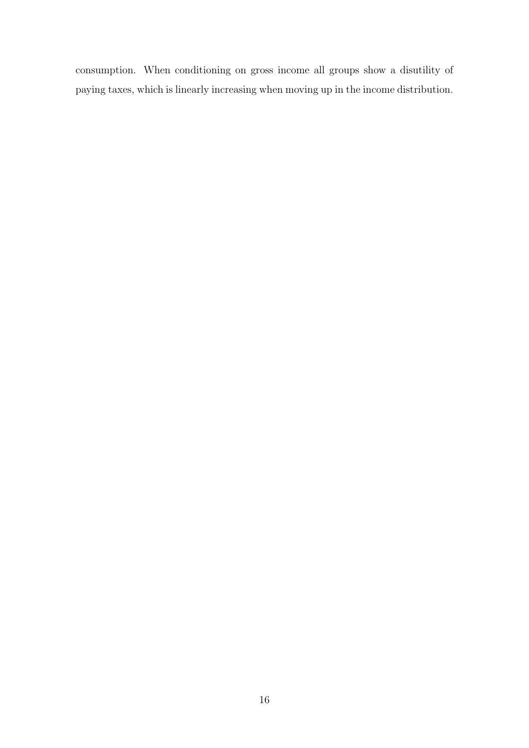consumption. When conditioning on gross income all groups show a disutility of paying taxes, which is linearly increasing when moving up in the income distribution.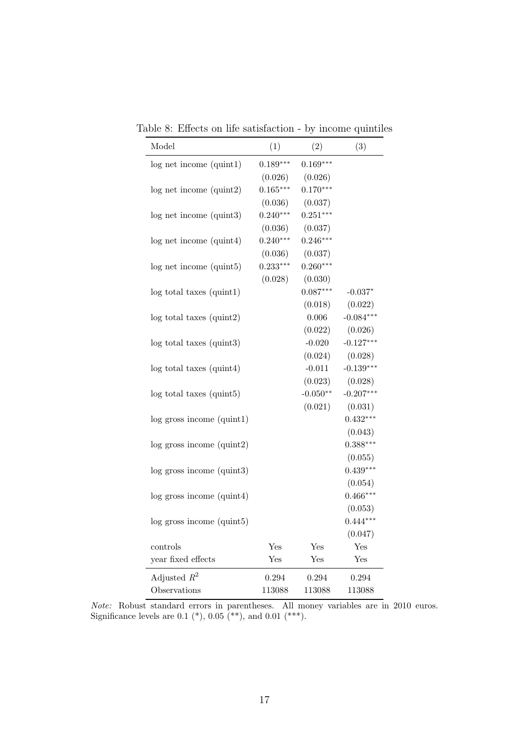<span id="page-17-0"></span>

| Model                             | (1)          | (2)        | (3)         |
|-----------------------------------|--------------|------------|-------------|
| log net income (quint1)           | $0.189***$   | $0.169***$ |             |
|                                   | (0.026)      | (0.026)    |             |
| log net income (quint2)           | $0.165***$   | $0.170***$ |             |
|                                   | (0.036)      | (0.037)    |             |
| log net income (quint3)           | $0.240***$   | $0.251***$ |             |
|                                   | (0.036)      | (0.037)    |             |
| log net income (quint4)           | $0.240***$   | $0.246***$ |             |
|                                   | (0.036)      | (0.037)    |             |
| log net income (quint5)           | $0.233***$   | $0.260***$ |             |
|                                   | (0.028)      | (0.030)    |             |
| $log$ total taxes (quint1)        |              | $0.087***$ | $-0.037*$   |
|                                   |              | (0.018)    | (0.022)     |
| $log$ total taxes $(quint2)$      |              | 0.006      | $-0.084***$ |
|                                   |              | (0.022)    | (0.026)     |
| log total taxes (quint3)          |              | $-0.020$   | $-0.127***$ |
|                                   |              | (0.024)    | (0.028)     |
| $log$ total taxes (quint4)        |              | $-0.011$   | $-0.139***$ |
|                                   |              | (0.023)    | (0.028)     |
| log total taxes (quint5)          |              | $-0.050**$ | $-0.207***$ |
|                                   |              | (0.021)    | (0.031)     |
| $log$ gross income $(quint1)$     |              |            | $0.432***$  |
|                                   |              |            | (0.043)     |
| $log$ gross income $(quint2)$     |              |            | $0.388***$  |
|                                   |              |            | (0.055)     |
| $log$ gross income $(quint3)$     |              |            | $0.439***$  |
|                                   |              |            | (0.054)     |
| $log$ gross income $(quint4)$     |              |            | $0.466***$  |
|                                   |              |            | (0.053)     |
| $log$ gross income $($ quint $5)$ |              |            | $0.444***$  |
|                                   |              |            | (0.047)     |
| controls                          | $_{\rm Yes}$ | Yes        | Yes         |
| year fixed effects                | Yes          | Yes        | Yes         |
| Adjusted $R^2$                    | 0.294        | 0.294      | 0.294       |
| Observations                      | 113088       | 113088     | 113088      |

Table 8: Effects on life satisfaction - by income quintiles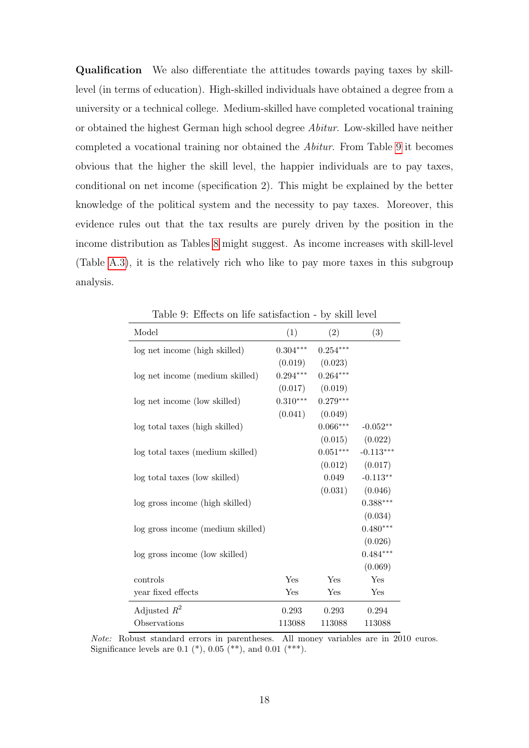Qualification We also differentiate the attitudes towards paying taxes by skilllevel (in terms of education). High-skilled individuals have obtained a degree from a university or a technical college. Medium-skilled have completed vocational training or obtained the highest German high school degree Abitur. Low-skilled have neither completed a vocational training nor obtained the Abitur. From Table [9](#page-18-0) it becomes obvious that the higher the skill level, the happier individuals are to pay taxes, conditional on net income (specification 2). This might be explained by the better knowledge of the political system and the necessity to pay taxes. Moreover, this evidence rules out that the tax results are purely driven by the position in the income distribution as Tables [8](#page-17-0) might suggest. As income increases with skill-level (Table [A.3\)](#page-10-0), it is the relatively rich who like to pay more taxes in this subgroup analysis.

| Model                             | (1)                    | (2)        | (3)         |
|-----------------------------------|------------------------|------------|-------------|
| log net income (high skilled)     | $0.304***$             | $0.254***$ |             |
|                                   | (0.019)                | (0.023)    |             |
| log net income (medium skilled)   | $0.294^{\ast\ast\ast}$ | $0.264***$ |             |
|                                   | (0.017)                | (0.019)    |             |
| log net income (low skilled)      | $0.310***$             | $0.279***$ |             |
|                                   | (0.041)                | (0.049)    |             |
| log total taxes (high skilled)    |                        | $0.066***$ | $-0.052**$  |
|                                   |                        | (0.015)    | (0.022)     |
| log total taxes (medium skilled)  |                        | $0.051***$ | $-0.113***$ |
|                                   |                        | (0.012)    | (0.017)     |
| log total taxes (low skilled)     |                        | 0.049      | $-0.113**$  |
|                                   |                        | (0.031)    | (0.046)     |
| log gross income (high skilled)   |                        |            | $0.388***$  |
|                                   |                        |            | (0.034)     |
| log gross income (medium skilled) |                        |            | $0.480***$  |
|                                   |                        |            | (0.026)     |
| log gross income (low skilled)    |                        |            | $0.484***$  |
|                                   |                        |            | (0.069)     |
| controls                          | Yes                    | Yes        | Yes         |
| year fixed effects                | Yes                    | Yes        | Yes         |
| Adjusted $R^2$                    | 0.293                  | 0.293      | 0.294       |
| Observations                      | 113088                 | 113088     | 113088      |

<span id="page-18-0"></span>Table 9: Effects on life satisfaction - by skill level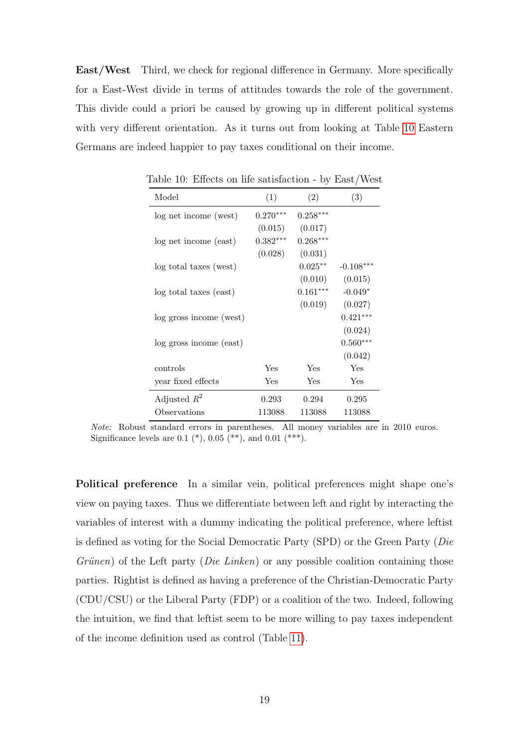East/West Third, we check for regional difference in Germany. More specifically for a East-West divide in terms of attitudes towards the role of the government. This divide could a priori be caused by growing up in different political systems with very different orientation. As it turns out from looking at Table [10](#page-19-0) Eastern Germans are indeed happier to pay taxes conditional on their income.

| Model                   | (1)        | (2)        | (3)         |
|-------------------------|------------|------------|-------------|
| log net income (west)   | $0.270***$ | $0.258***$ |             |
|                         | (0.015)    | (0.017)    |             |
| log net income (east)   | $0.382***$ | $0.268***$ |             |
|                         | (0.028)    | (0.031)    |             |
| log total taxes (west)  |            | $0.025**$  | $-0.108***$ |
|                         |            | (0.010)    | (0.015)     |
| log total taxes (east)  |            | $0.161***$ | $-0.049*$   |
|                         |            | (0.019)    | (0.027)     |
| log gross income (west) |            |            | $0.421***$  |
|                         |            |            | (0.024)     |
| log gross income (east) |            |            | $0.560***$  |
|                         |            |            | (0.042)     |
| controls                | <b>Yes</b> | Yes        | Yes         |
| year fixed effects      | Yes        | Yes        | Yes         |
| Adjusted $R^2$          | 0.293      | 0.294      | 0.295       |
| Observations            | 113088     | 113088     | 113088      |

<span id="page-19-0"></span>Table 10: Effects on life satisfaction - by East/West

Note: Robust standard errors in parentheses. All money variables are in 2010 euros. Significance levels are 0.1  $(*)$ , 0.05  $(**)$ , and 0.01  $(***)$ .

Political preference In a similar vein, political preferences might shape one's view on paying taxes. Thus we differentiate between left and right by interacting the variables of interest with a dummy indicating the political preference, where leftist is defined as voting for the Social Democratic Party (SPD) or the Green Party (Die  $Grünen)$  of the Left party (*Die Linken*) or any possible coalition containing those parties. Rightist is defined as having a preference of the Christian-Democratic Party (CDU/CSU) or the Liberal Party (FDP) or a coalition of the two. Indeed, following the intuition, we find that leftist seem to be more willing to pay taxes independent of the income definition used as control (Table [11\)](#page-20-0).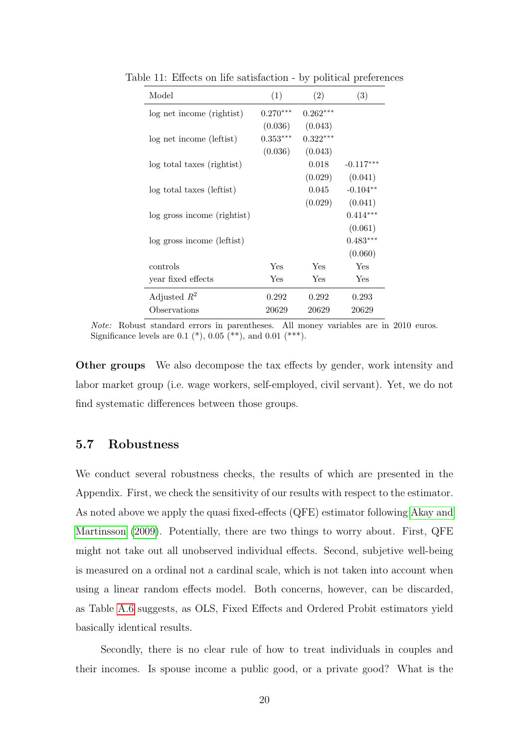<span id="page-20-0"></span>

| Model                       | (1)        | (2)        | (3)         |
|-----------------------------|------------|------------|-------------|
| log net income (rightist)   | $0.270***$ | $0.262***$ |             |
|                             | (0.036)    | (0.043)    |             |
| log net income (leftist)    | $0.353***$ | $0.322***$ |             |
|                             | (0.036)    | (0.043)    |             |
| log total taxes (rightist)  |            | 0.018      | $-0.117***$ |
|                             |            | (0.029)    | (0.041)     |
| log total taxes (left ist)  |            | 0.045      | $-0.104**$  |
|                             |            | (0.029)    | (0.041)     |
| log gross income (rightist) |            |            | $0.414***$  |
|                             |            |            | (0.061)     |
| log gross income (left ist) |            |            | $0.483***$  |
|                             |            |            | (0.060)     |
| controls                    | Yes        | Yes        | Yes         |
| year fixed effects          | Yes        | Yes        | Yes         |
| Adjusted $R^2$              | 0.292      | 0.292      | 0.293       |
| Observations                | 20629      | 20629      | 20629       |

Table 11: Effects on life satisfaction - by political preferences

**Other groups** We also decompose the tax effects by gender, work intensity and labor market group (i.e. wage workers, self-employed, civil servant). Yet, we do not find systematic differences between those groups.

#### 5.7 Robustness

We conduct several robustness checks, the results of which are presented in the Appendix. First, we check the sensitivity of our results with respect to the estimator. As noted above we apply the quasi fixed-effects (QFE) estimator following [Akay and](#page-23-13) [Martinsson](#page-23-13) [\(2009\)](#page-23-13). Potentially, there are two things to worry about. First, QFE might not take out all unobserved individual effects. Second, subjetive well-being is measured on a ordinal not a cardinal scale, which is not taken into account when using a linear random effects model. Both concerns, however, can be discarded, as Table [A.6](#page-14-0) suggests, as OLS, Fixed Effects and Ordered Probit estimators yield basically identical results.

Secondly, there is no clear rule of how to treat individuals in couples and their incomes. Is spouse income a public good, or a private good? What is the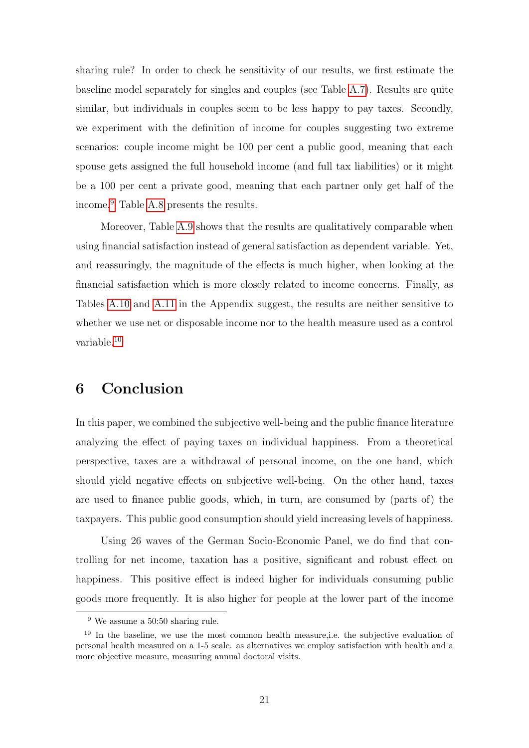sharing rule? In order to check he sensitivity of our results, we first estimate the baseline model separately for singles and couples (see Table [A.7\)](#page-15-0). Results are quite similar, but individuals in couples seem to be less happy to pay taxes. Secondly, we experiment with the definition of income for couples suggesting two extreme scenarios: couple income might be 100 per cent a public good, meaning that each spouse gets assigned the full household income (and full tax liabilities) or it might be a 100 per cent a private good, meaning that each partner only get half of the income.[9](#page-21-1) Table [A.8](#page-17-0) presents the results.

Moreover, Table [A.9](#page-18-0) shows that the results are qualitatively comparable when using financial satisfaction instead of general satisfaction as dependent variable. Yet, and reassuringly, the magnitude of the effects is much higher, when looking at the financial satisfaction which is more closely related to income concerns. Finally, as Tables [A.10](#page-19-0) and [A.11](#page-20-0) in the Appendix suggest, the results are neither sensitive to whether we use net or disposable income nor to the health measure used as a control variable.[10](#page-21-2)

### <span id="page-21-0"></span>6 Conclusion

In this paper, we combined the subjective well-being and the public finance literature analyzing the effect of paying taxes on individual happiness. From a theoretical perspective, taxes are a withdrawal of personal income, on the one hand, which should yield negative effects on subjective well-being. On the other hand, taxes are used to finance public goods, which, in turn, are consumed by (parts of) the taxpayers. This public good consumption should yield increasing levels of happiness.

Using 26 waves of the German Socio-Economic Panel, we do find that controlling for net income, taxation has a positive, significant and robust effect on happiness. This positive effect is indeed higher for individuals consuming public goods more frequently. It is also higher for people at the lower part of the income

<span id="page-21-2"></span><span id="page-21-1"></span><sup>9</sup> We assume a 50:50 sharing rule.

<sup>&</sup>lt;sup>10</sup> In the baseline, we use the most common health measure, i.e. the subjective evaluation of personal health measured on a 1-5 scale. as alternatives we employ satisfaction with health and a more objective measure, measuring annual doctoral visits.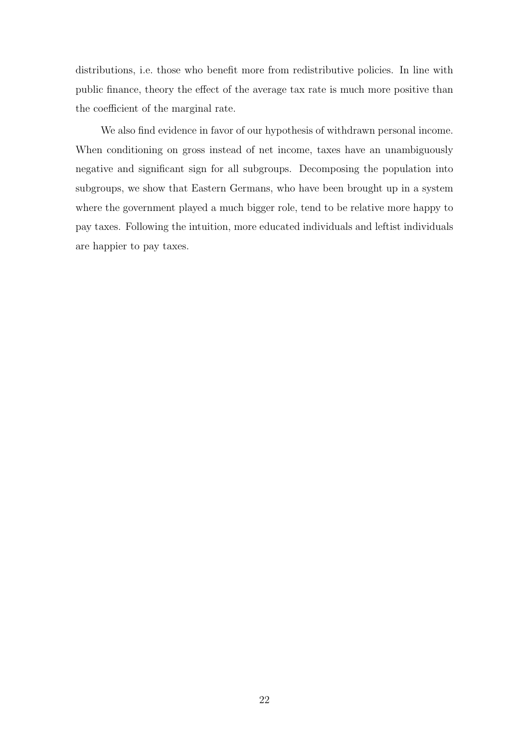distributions, i.e. those who benefit more from redistributive policies. In line with public finance, theory the effect of the average tax rate is much more positive than the coefficient of the marginal rate.

We also find evidence in favor of our hypothesis of withdrawn personal income. When conditioning on gross instead of net income, taxes have an unambiguously negative and significant sign for all subgroups. Decomposing the population into subgroups, we show that Eastern Germans, who have been brought up in a system where the government played a much bigger role, tend to be relative more happy to pay taxes. Following the intuition, more educated individuals and leftist individuals are happier to pay taxes.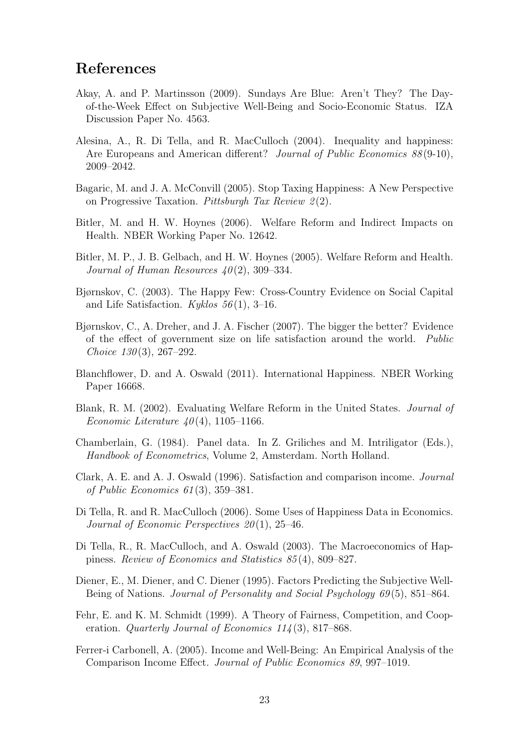### References

- <span id="page-23-13"></span>Akay, A. and P. Martinsson (2009). Sundays Are Blue: Aren't They? The Dayof-the-Week Effect on Subjective Well-Being and Socio-Economic Status. IZA Discussion Paper No. 4563.
- <span id="page-23-8"></span>Alesina, A., R. Di Tella, and R. MacCulloch (2004). Inequality and happiness: Are Europeans and American different? Journal of Public Economics 88(9-10), 2009–2042.
- <span id="page-23-9"></span>Bagaric, M. and J. A. McConvill (2005). Stop Taxing Happiness: A New Perspective on Progressive Taxation. Pittsburgh Tax Review  $2(2)$ .
- <span id="page-23-12"></span>Bitler, M. and H. W. Hoynes (2006). Welfare Reform and Indirect Impacts on Health. NBER Working Paper No. 12642.
- <span id="page-23-11"></span>Bitler, M. P., J. B. Gelbach, and H. W. Hoynes (2005). Welfare Reform and Health. Journal of Human Resources  $40(2)$ , 309-334.
- <span id="page-23-5"></span>Bjørnskov, C. (2003). The Happy Few: Cross-Country Evidence on Social Capital and Life Satisfaction. Kyklos  $56(1)$ , 3-16.
- <span id="page-23-4"></span>Bjørnskov, C., A. Dreher, and J. A. Fischer (2007). The bigger the better? Evidence of the effect of government size on life satisfaction around the world. Public Choice  $130(3)$ , 267–292.
- <span id="page-23-3"></span>Blanchflower, D. and A. Oswald (2011). International Happiness. NBER Working Paper 16668.
- <span id="page-23-10"></span>Blank, R. M. (2002). Evaluating Welfare Reform in the United States. Journal of Economic Literature  $40(4)$ , 1105–1166.
- <span id="page-23-14"></span>Chamberlain, G. (1984). Panel data. In Z. Griliches and M. Intriligator (Eds.), Handbook of Econometrics, Volume 2, Amsterdam. North Holland.
- <span id="page-23-0"></span>Clark, A. E. and A. J. Oswald (1996). Satisfaction and comparison income. Journal of Public Economics 61 (3), 359–381.
- <span id="page-23-2"></span>Di Tella, R. and R. MacCulloch (2006). Some Uses of Happiness Data in Economics. Journal of Economic Perspectives  $20(1)$ , 25-46.
- <span id="page-23-7"></span>Di Tella, R., R. MacCulloch, and A. Oswald (2003). The Macroeconomics of Happiness. Review of Economics and Statistics 85 (4), 809–827.
- <span id="page-23-6"></span>Diener, E., M. Diener, and C. Diener (1995). Factors Predicting the Subjective Well-Being of Nations. Journal of Personality and Social Psychology 69(5), 851–864.
- <span id="page-23-15"></span>Fehr, E. and K. M. Schmidt (1999). A Theory of Fairness, Competition, and Cooperation. *Quarterly Journal of Economics 114* (3), 817–868.
- <span id="page-23-1"></span>Ferrer-i Carbonell, A. (2005). Income and Well-Being: An Empirical Analysis of the Comparison Income Effect. Journal of Public Economics 89, 997–1019.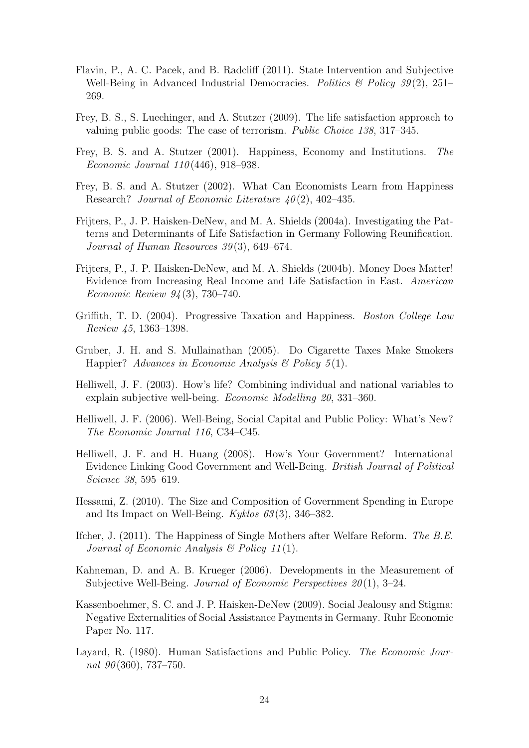- <span id="page-24-5"></span>Flavin, P., A. C. Pacek, and B. Radcliff (2011). State Intervention and Subjective Well-Being in Advanced Industrial Democracies. Politics & Policy 39(2), 251– 269.
- <span id="page-24-12"></span>Frey, B. S., S. Luechinger, and A. Stutzer (2009). The life satisfaction approach to valuing public goods: The case of terrorism. Public Choice 138, 317–345.
- <span id="page-24-8"></span>Frey, B. S. and A. Stutzer (2001). Happiness, Economy and Institutions. The Economic Journal 110 (446), 918–938.
- <span id="page-24-0"></span>Frey, B. S. and A. Stutzer (2002). What Can Economists Learn from Happiness Research? Journal of Economic Literature  $40(2)$ , 402-435.
- <span id="page-24-6"></span>Frijters, P., J. P. Haisken-DeNew, and M. A. Shields (2004a). Investigating the Patterns and Determinants of Life Satisfaction in Germany Following Reunification. Journal of Human Resources 39(3), 649–674.
- <span id="page-24-15"></span>Frijters, P., J. P. Haisken-DeNew, and M. A. Shields (2004b). Money Does Matter! Evidence from Increasing Real Income and Life Satisfaction in East. American Economic Review 94 (3), 730–740.
- <span id="page-24-10"></span>Griffith, T. D. (2004). Progressive Taxation and Happiness. Boston College Law Review 45, 1363–1398.
- <span id="page-24-11"></span>Gruber, J. H. and S. Mullainathan (2005). Do Cigarette Taxes Make Smokers Happier? Advances in Economic Analysis  $\mathcal B$  Policy 5(1).
- <span id="page-24-2"></span>Helliwell, J. F. (2003). How's life? Combining individual and national variables to explain subjective well-being. Economic Modelling 20, 331–360.
- <span id="page-24-3"></span>Helliwell, J. F. (2006). Well-Being, Social Capital and Public Policy: What's New? The Economic Journal 116, C34–C45.
- <span id="page-24-7"></span>Helliwell, J. F. and H. Huang (2008). How's Your Government? International Evidence Linking Good Government and Well-Being. British Journal of Political Science 38, 595–619.
- <span id="page-24-4"></span>Hessami, Z. (2010). The Size and Composition of Government Spending in Europe and Its Impact on Well-Being. Kyklos  $63(3)$ , 346–382.
- <span id="page-24-14"></span>Ifcher, J. (2011). The Happiness of Single Mothers after Welfare Reform. The B.E. Journal of Economic Analysis & Policy 11 (1).
- <span id="page-24-1"></span>Kahneman, D. and A. B. Krueger (2006). Developments in the Measurement of Subjective Well-Being. Journal of Economic Perspectives  $20(1)$ , 3–24.
- <span id="page-24-13"></span>Kassenboehmer, S. C. and J. P. Haisken-DeNew (2009). Social Jealousy and Stigma: Negative Externalities of Social Assistance Payments in Germany. Ruhr Economic Paper No. 117.
- <span id="page-24-9"></span>Layard, R. (1980). Human Satisfactions and Public Policy. The Economic Journal  $90(360)$ , 737–750.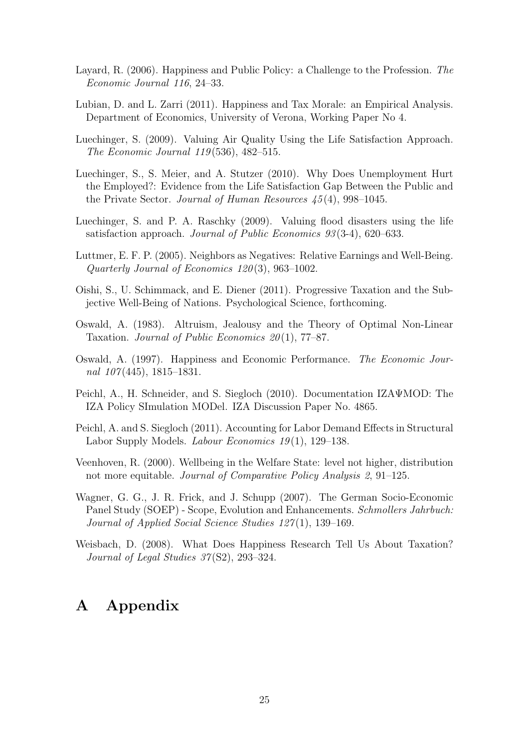- <span id="page-25-4"></span>Layard, R. (2006). Happiness and Public Policy: a Challenge to the Profession. The Economic Journal 116, 24–33.
- <span id="page-25-9"></span>Lubian, D. and L. Zarri (2011). Happiness and Tax Morale: an Empirical Analysis. Department of Economics, University of Verona, Working Paper No 4.
- <span id="page-25-7"></span>Luechinger, S. (2009). Valuing Air Quality Using the Life Satisfaction Approach. The Economic Journal 119 (536), 482–515.
- <span id="page-25-11"></span>Luechinger, S., S. Meier, and A. Stutzer (2010). Why Does Unemployment Hurt the Employed?: Evidence from the Life Satisfaction Gap Between the Public and the Private Sector. Journal of Human Resources 45 (4), 998–1045.
- <span id="page-25-8"></span>Luechinger, S. and P. A. Raschky (2009). Valuing flood disasters using the life satisfaction approach. *Journal of Public Economics 93* (3-4), 620–633.
- <span id="page-25-0"></span>Luttmer, E. F. P. (2005). Neighbors as Negatives: Relative Earnings and Well-Being. Quarterly Journal of Economics 120 (3), 963–1002.
- <span id="page-25-6"></span>Oishi, S., U. Schimmack, and E. Diener (2011). Progressive Taxation and the Subjective Well-Being of Nations. Psychological Science, forthcoming.
- <span id="page-25-3"></span>Oswald, A. (1983). Altruism, Jealousy and the Theory of Optimal Non-Linear Taxation. Journal of Public Economics  $20(1)$ , 77–87.
- <span id="page-25-1"></span>Oswald, A. (1997). Happiness and Economic Performance. The Economic Journal  $107(445)$ , 1815–1831.
- <span id="page-25-12"></span>Peichl, A., H. Schneider, and S. Siegloch (2010). Documentation IZAΨMOD: The IZA Policy SImulation MODel. IZA Discussion Paper No. 4865.
- <span id="page-25-13"></span>Peichl, A. and S. Siegloch (2011). Accounting for Labor Demand Effects in Structural Labor Supply Models. *Labour Economics*  $19(1)$ , 129–138.
- <span id="page-25-2"></span>Veenhoven, R. (2000). Wellbeing in the Welfare State: level not higher, distribution not more equitable. Journal of Comparative Policy Analysis 2, 91–125.
- <span id="page-25-10"></span>Wagner, G. G., J. R. Frick, and J. Schupp (2007). The German Socio-Economic Panel Study (SOEP) - Scope, Evolution and Enhancements. Schmollers Jahrbuch: Journal of Applied Social Science Studies 127(1), 139–169.
- <span id="page-25-5"></span>Weisbach, D. (2008). What Does Happiness Research Tell Us About Taxation? Journal of Legal Studies 37(S2), 293-324.

## A Appendix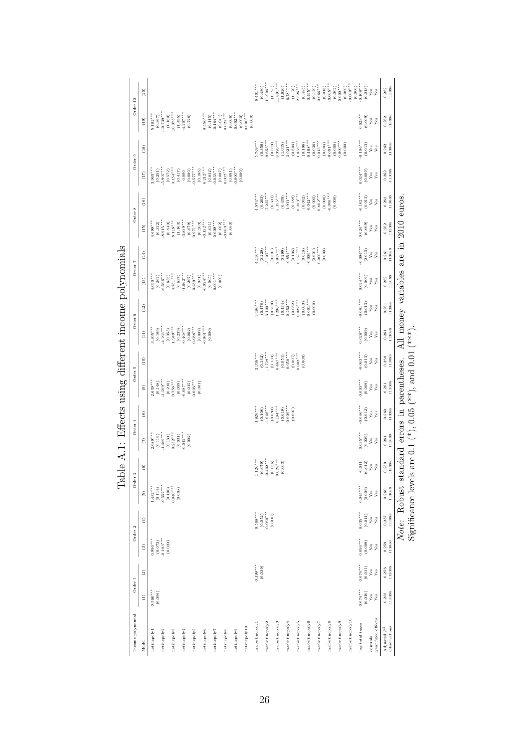| Income polynomial<br>netincpoly2<br>netincpoly1<br>Model                                                                                                                                                                                                                                                   | Order 1<br>$0.568***$<br>(0.096)<br>$\widehat{e}$                | $\widehat{\mathbf{c}}$              | Order <sub>2</sub><br>$\substack{(0.073) \\ -0.103***}$<br>$0.956***$<br>$\widehat{\mathbf{c}}$ | $\widehat{E}$                                   | Order<br>$(0.114)$<br>$-0.557***$<br>$1.432***$<br>$\widehat{\mathbb{G}}$                                                        | Table A.1:<br>$\rm^{(6)}$<br>$\infty$                                    | Order 4<br>$(0.119)$<br>$(0.119)$<br>$2.089***$<br>$\odot$            | $_{\rm (8)}$                                                                                     | Effects using different income polynomials<br>Order 5<br>$(0.148)$<br>$-2.509***$<br>$2.639***$<br>$\begin{array}{c} (9) \\ \end{array}$ | (10)                                                                                                                       | Order 6<br>$(0.189)$<br>4.103***<br>$3.305***$<br>$\left( \text{ii}\right)$                                     | $\left( 12\right)$                                                                                                                                  | Order 7<br>$(0.262)$<br>-6.596***<br>$4.090***$<br>$\left( 13\right)$                                                                                 | (14)                                                                                                                                                                            | Order 8<br>$(0.322)$<br>$-8.915***$<br>$4.699***$<br>(15)                                                                                                           | (16)                                                                                                                                                                                                       | Order 9<br>$5.907***$<br>(0.251)<br>$3.965***$<br>$(17)$                                                                                                                                             | (18)                                                                                                                                                                                                                                | Order 10<br>$10.739***$<br>$5.182***$<br>(0.367)<br>(19)                                                                                                                                       | (20)                                                                                                                                                                                                                                                                                                           |
|------------------------------------------------------------------------------------------------------------------------------------------------------------------------------------------------------------------------------------------------------------------------------------------------------------|------------------------------------------------------------------|-------------------------------------|-------------------------------------------------------------------------------------------------|-------------------------------------------------|----------------------------------------------------------------------------------------------------------------------------------|--------------------------------------------------------------------------|-----------------------------------------------------------------------|--------------------------------------------------------------------------------------------------|------------------------------------------------------------------------------------------------------------------------------------------|----------------------------------------------------------------------------------------------------------------------------|-----------------------------------------------------------------------------------------------------------------|-----------------------------------------------------------------------------------------------------------------------------------------------------|-------------------------------------------------------------------------------------------------------------------------------------------------------|---------------------------------------------------------------------------------------------------------------------------------------------------------------------------------|---------------------------------------------------------------------------------------------------------------------------------------------------------------------|------------------------------------------------------------------------------------------------------------------------------------------------------------------------------------------------------------|------------------------------------------------------------------------------------------------------------------------------------------------------------------------------------------------------|-------------------------------------------------------------------------------------------------------------------------------------------------------------------------------------------------------------------------------------|------------------------------------------------------------------------------------------------------------------------------------------------------------------------------------------------|----------------------------------------------------------------------------------------------------------------------------------------------------------------------------------------------------------------------------------------------------------------------------------------------------------------|
| marketincpoly10<br>marketincpoly8<br>marketincpoly9<br>marketincpoly3<br>marketincpoly5<br>marketincpoly6<br>marketincpoly7<br>marketincpoly2<br>marketincpoly4<br>marketincpoly1<br>netincpoly10<br>netincpoly3<br>netincpoly5<br>netincpoly6<br>netincpoly7<br>netincpoly8<br>netincpoly9<br>netincpoly4 |                                                                  | $0.199***$<br>(0.039)               | (0.023)                                                                                         | $-0.060***$<br>$0.508***$<br>(0.052)<br>(0.010) | $(0.100)$ $0.040***$<br>(0.008)                                                                                                  | $-0.402***$<br>$1.120***$<br>$0.028***$<br>(0.079)<br>(0.036)<br>(0.003) | $-0.012***$<br>$\substack{(0.131) \\ 0.252***}$<br>(0.031)<br>(0.002) | $1.046***$<br>$0.009***$<br>$1.820***$<br>$0.184***$<br>(0.080)<br>(0.108)<br>(0.019)<br>(0.001) | $\begin{array}{c} (0.218) \\ 0.756^{***} \end{array}$<br>$0.087***$<br>$0.003***$<br>(0.099)<br>(0.015)<br>$(0.001)$                     | $-1.729***$<br>$0.050***$<br>$2.356***$<br>$0.467***$<br>(0.133)<br>$0.002***$<br>(0.132)<br>(0.051)<br>(0.007)<br>(0.000) | $-0.408***$<br>$(0.007)$<br>$-0.001***$<br>$(0.355)$<br>1.949***<br>$0.038***$<br>(0.239)<br>(0.062)<br>(0.000) | $3.100***$<br>$-0.252***$<br>$0.001***$<br>$3.180***$<br>$(0.239)$<br>1.296***<br>$0.022***$<br>(0.178)<br>(0.003)<br>(0.134)<br>(0.032)<br>(0.000) | $(0.051)$<br>$-0.024***$<br>$-1.662***$<br>$^{(0.267)}_{0.289***}$<br>$\substack{(0.653)}{4.731***}$<br>$0.001***$<br>(0.005)<br>$(0.637)$<br>(0.000) | $5.107***$<br>$0.854***$<br>$-0.009***$<br>$1.130***$<br>$2.957***$<br>$0.000^{***}$<br>(0.391)<br>$0.125***$<br>(0.106)<br>(0.018)<br>(0.001)<br>(0.229)<br>(0.299)<br>(0.000) | $0.971***$<br>$(0.200)$<br>$-0.132***$<br>$8.116***$<br>$(1.163)$<br>$-3.839***$<br>$0.009***$<br>$-0.000**$<br>(0.940)<br>(0.679)<br>(0.031)<br>(0.002)<br>(0.000) | $7.225***$<br>$1.911***$<br>$-0.042***$<br>$0.000^{***}$<br>$1.974***$<br>$(0.501)$<br>$5.155***$<br>$0.002***$<br>$0.383***$<br>(0.263)<br>(0.439)<br>(0.189)<br>(0.042)<br>(0.005)<br>(0.000)<br>(0.000) | $0.577***$<br>$-0.033***$<br>$-0.000***$<br>$3.154***$<br>$(0.106)$<br>$0.212***$<br>$0.002***$<br>$\left(0.572\right)$<br>(0.042)<br>(0.001)<br>$(0.417)$<br>(0.000)<br>(0.007)<br>(0.000)<br>0.000 | $-0.168***$<br>$9.655***$<br>$5.769***$<br>$8.326***$<br>$-3.921***$<br>$0.015***$<br>$-0.001***$<br>$0.000^{***}$<br>(0.873)<br>$1.058***$<br>(0.356)<br>(1.015)<br>(0.196)<br>(0.036)<br>(0.004)<br>(0.000)<br>(0.604)<br>(0.000) | $(1.160)$<br>$10.375***$<br>$-0.184***$<br>$-0.002***$<br>$0.550***$<br>$(1.495)$<br>$-4.207***$<br>$0.000***$<br>(0.041)<br>$0.027***$<br>(0.728)<br>(0.115)<br>(0.006)<br>(0.000)<br>(0.000) | $-11.904***$<br>$11.893***$<br>$-6.781***$<br>$\begin{array}{c} (0.485) \\ -0.495^{***} \\ (0.120) \end{array}$<br>$-0.005***$<br>$_{\rm -0.000^{***}}^{(\rm 0.000)}$<br>$6.401***$<br>$_{0.002+\ast}^{(0.002)}$<br>$0.066***$<br>(1.195)<br>$2.326***$<br>(0.430)<br>(0.018)<br>(1.620)<br>(1.170)<br>(0.000) |
| year fixed effects<br>log total taxes<br>controls                                                                                                                                                                                                                                                          | $0.074***$<br>(0.010)<br>Yes<br>$\mathbf{Y}\mathbf{e}\mathbf{s}$ | $0.074***$<br>(0.011)<br>Yes<br>Yes | $0.056***$<br>(0.009)<br>$\mathbf{Yes}$<br>$\ensuremath{\mathbf{Y}}\xspace$ es                  | $0.035***$<br>(0.011)<br>Yes<br>Yes             | $0.045***$<br>(0.009)<br>${\bf Yes}$<br>$_{\rm Yes}$                                                                             | (0.012)<br>$-0.011$<br>Yes<br>$\ensuremath{\mathbf{Y}}\xspace$ es        | $0.035***$<br>(0.009)<br>Yes<br>$\mathbf{Y}\mathbf{e}\mathbf{s}$      | $-0.046***$<br>(0.012)<br>$\mathbf{Yes}$<br>Yes                                                  | $0.030***$<br>(0.009)<br>$\mathbf{Yes}$<br>$\mathbf{Y}\mathbf{es}$                                                                       | $-0.063***$<br>(0.013)<br>Yes<br>Yes                                                                                       | $0.026***$<br>(0.009)<br>Yes<br>$\mathbf{Y}\mathbf{es}$                                                         | $-0.081***$<br>(0.013)<br>Yes<br>$\mathbf{Yes}$                                                                                                     | $0.024***$<br>(0.009)<br>Yes<br>Yes                                                                                                                   | $-0.094***$<br>(0.013)<br>Yes<br>$\mathbf{Yes}$                                                                                                                                 | $0.024***$<br>(0.009)<br>Yes<br>$\mathbf{Yes}$                                                                                                                      | $-0.102***$<br>(0.013)<br>Yes<br>Yes                                                                                                                                                                       | $0.024***$<br>(0.009)<br>Yes<br>$\mathbf{Yes}$                                                                                                                                                       | $-0.106***$<br>(0.013)<br>Yes<br>$\mathbf{Yes}$                                                                                                                                                                                     | $0.023**$<br>(0.009)<br>Yes<br>$\ensuremath{\mathbf{Yes}}$                                                                                                                                     | $-0.108***$<br>(0.013)<br>Yes<br>$\mathbf{Yes}$                                                                                                                                                                                                                                                                |
| Observations<br>Adjusted $\mathbb{R}^2$                                                                                                                                                                                                                                                                    | $0.258$<br>113088                                                | $0.256$<br>113088                   | $0.259$<br>113088                                                                               | $0.257$<br>113088                               | Significance levels are 0.1 (*), 0.05 (***), and 0.01 (***)<br>Note: Robust standard errors in parentheses.<br>$0.260$<br>113088 | 113088<br>0.259                                                          | $\begin{array}{c} 0.261 \\ 113088 \end{array}$                        | $\begin{array}{c} 0.260 \\ 113088 \end{array}$                                                   | $\begin{array}{c} 0.261 \\ 113088 \end{array}$                                                                                           | $0.260$<br>113088                                                                                                          | $\begin{array}{c} 0.261 \\ 113088 \end{array}$                                                                  | 113088<br>0.261                                                                                                                                     | All money variables are in<br>$0.262$<br>113088                                                                                                       | 113088<br>0.261                                                                                                                                                                 | 2010<br>$\begin{array}{c} 0.262 \\ 113088 \end{array}$                                                                                                              | euros.<br>113088<br>0.262                                                                                                                                                                                  | $\begin{array}{c} 0.262 \\ 113088 \end{array}$                                                                                                                                                       | 113088<br>0.262                                                                                                                                                                                                                     | $0.262$<br>113088                                                                                                                                                                              | 113088<br>0.262                                                                                                                                                                                                                                                                                                |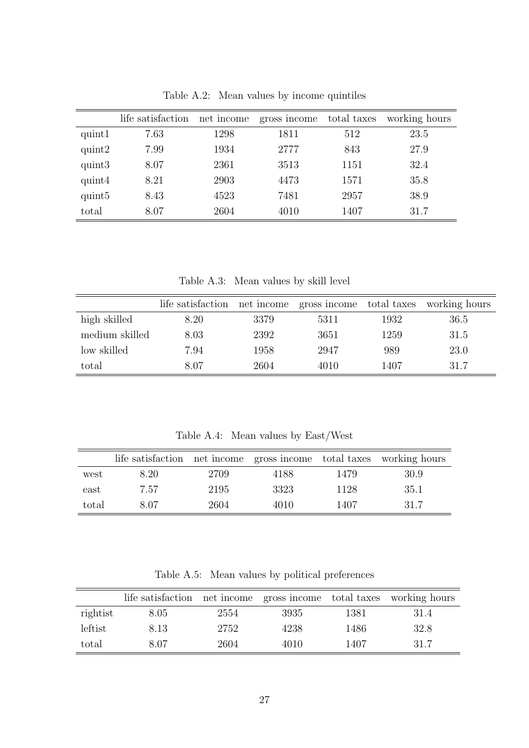|                    | life satisfaction |      | net income gross income |      | total taxes working hours |
|--------------------|-------------------|------|-------------------------|------|---------------------------|
| quint1             | 7.63              | 1298 | 1811                    | 512  | 23.5                      |
| quint2             | 7.99              | 1934 | 2777                    | 843  | 27.9                      |
| quint3             | 8.07              | 2361 | 3513                    | 1151 | 32.4                      |
| quint4             | 8.21              | 2903 | 4473                    | 1571 | 35.8                      |
| quint <sup>5</sup> | 8.43              | 4523 | 7481                    | 2957 | 38.9                      |
| total              | 8.07              | 2604 | 4010                    | 1407 | 31.7                      |

Table A.2: Mean values by income quintiles

Table A.3: Mean values by skill level

|                | life satisfaction net income gross income total taxes |      |      |      | working hours |
|----------------|-------------------------------------------------------|------|------|------|---------------|
| high skilled   | 8.20                                                  | 3379 | 5311 | 1932 | 36.5          |
| medium skilled | 8.03                                                  | 2392 | 3651 | 1259 | 31.5          |
| low skilled    | 7.94                                                  | 1958 | 2947 | 989  | 23.0          |
| total          | 8.07                                                  | 2604 | 4010 | 1407 | 31.7          |

Table A.4: Mean values by East/West

|       | life satisfaction net income gross income total taxes working hours |      |      |      |      |
|-------|---------------------------------------------------------------------|------|------|------|------|
| west  | 8.20                                                                | 2709 | 4188 | 1479 | 30.9 |
| east  | 7.57                                                                | 2195 | 3323 | 1128 | 35.1 |
| total | 8.07                                                                | 2604 | 4010 | 1407 | 31.7 |

Table A.5: Mean values by political preferences

|          | life satisfaction net income gross income total taxes working hours |      |      |      |      |
|----------|---------------------------------------------------------------------|------|------|------|------|
| rightist | 8.05                                                                | 2554 | 3935 | 1381 | 31.4 |
| leftist  | 8.13                                                                | 2752 | 4238 | 1486 | 32.8 |
| total    | 8.07                                                                | 2604 | 4010 | 1407 | 31.7 |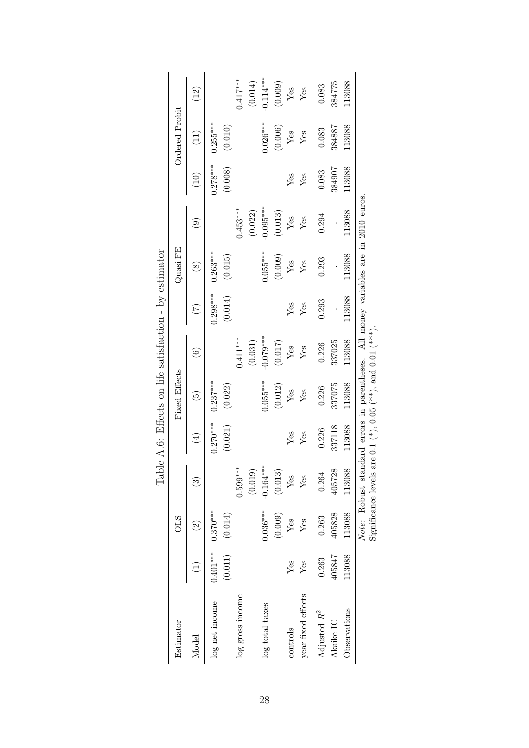| $\widehat{c}$<br>$\begin{pmatrix} 1 \end{pmatrix}$<br>Model | <b>CLS</b> |                        |                       | Fixed Effects         |                   |                       | Quasi FE              |                |                       | Ordered Probit        |                         |
|-------------------------------------------------------------|------------|------------------------|-----------------------|-----------------------|-------------------|-----------------------|-----------------------|----------------|-----------------------|-----------------------|-------------------------|
|                                                             |            | $\widehat{\mathbb{C}}$ | $\bigoplus$           | $\widetilde{E}$       | $\widehat{\odot}$ | $\widehat{\Xi}$       | $\circledast$         | $\odot$        | (10)                  | (11)                  | (12)                    |
| (0.014)<br>(0.011)<br>$0.401***$<br>log net income          | $0.370***$ |                        | $0.270***$<br>(0.021) | $0.237***$<br>(0.022) |                   | $0.298***$<br>(0.014) | $0.263***$<br>(0.015) |                | $0.278***$<br>(0.008) | $0.255***$<br>(0.010) |                         |
| log gross income                                            |            | $0.599***$             |                       |                       | $0.411***$        |                       |                       | $0.453***$     |                       |                       | $0.417***$              |
|                                                             |            | (0.019)                |                       |                       | (0.031)           |                       |                       | (0.022)        |                       |                       | (0.014)                 |
| $0.036***$<br>log total taxes                               |            | $-0.164***$            |                       | $0.055***$            | $-0.079***$       |                       | $0.055***$            | $-0.095***$    |                       | $0.026***$            | $-0.114***$             |
| (0.009)                                                     |            | (0.013)                |                       | (0.012)               | (0.017)           |                       | (0.009)               | (0.013)        |                       | (0.006)               | (0.009)                 |
| Yes<br>Yes<br>controls                                      |            | Yes                    | Yes                   | $\mathbf{Yes}$        | $\mathbf{Yes}$    | Yes                   | $\mathbf{Yes}$        | $\mathbf{Yes}$ | Yes                   | $\mathbf{Yes}$        | $\mathbf{Y}\mathbf{es}$ |
| Yes<br>Yes<br>year fixed effects                            |            | $Y_{ES}$               | Yes                   | Yes                   | ${\rm Yes}$       | Yes                   | Yes                   | ${\rm Yes}$    | $Y$ es                | Yes                   | Yes                     |
| 0.263<br>0.263<br>Adjusted $R^2$                            |            | 0.264                  | 0.226                 | 0.226                 | 0.226             | 0.293                 | 0.293                 | 0.294          | 0.083                 | 0.083                 | 0.083                   |
| 405828<br>405847<br>Akaike IC                               |            | 405728                 | 337118                | 337075                | 337025            |                       |                       |                | 384907                | 384887                | 384775                  |
| 113088<br>Observations                                      | 113088     | 113088                 | 13088                 | 113088                | 113088            | 113088                | 113088                | 113088         | 113088                | 13088                 | 113088                  |

| hy estimator<br>١<br>;<br>גו                             |
|----------------------------------------------------------|
|                                                          |
| $\overline{1}$                                           |
| <b>CONTROLLER CALL</b><br>: Effects on life satisfaction |
|                                                          |
|                                                          |
|                                                          |
| ;<br>;<br>;<br>$\frac{1}{2}$                             |
| $\frac{2}{3}$<br>Table                                   |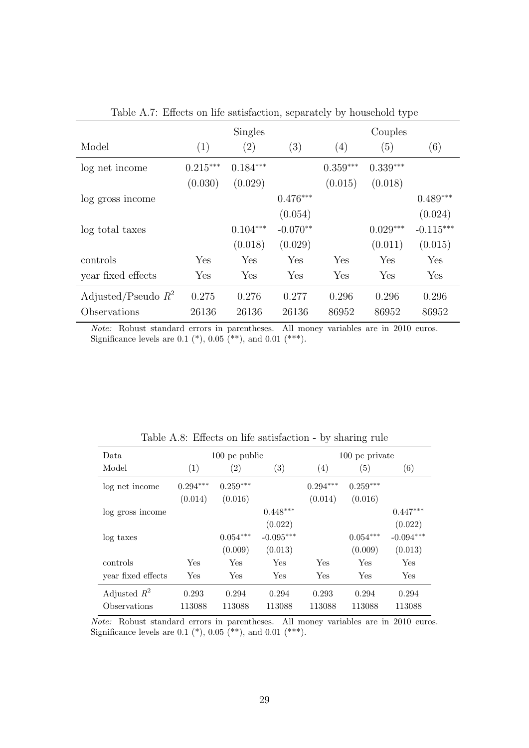|                       |            | Singles           |            |            | Couples    |             |
|-----------------------|------------|-------------------|------------|------------|------------|-------------|
| Model                 | (1)        | $\left( 2\right)$ | (3)        | (4)        | (5)        | (6)         |
| log net income        | $0.215***$ | $0.184***$        |            | $0.359***$ | $0.339***$ |             |
|                       | (0.030)    | (0.029)           |            | (0.015)    | (0.018)    |             |
| log gross income      |            |                   | $0.476***$ |            |            | $0.489***$  |
|                       |            |                   | (0.054)    |            |            | (0.024)     |
| log total taxes       |            | $0.104***$        | $-0.070**$ |            | $0.029***$ | $-0.115***$ |
|                       |            | (0.018)           | (0.029)    |            | (0.011)    | (0.015)     |
| controls              | Yes        | Yes               | Yes        | Yes        | Yes        | Yes         |
| year fixed effects    | Yes        | Yes               | Yes        | Yes        | Yes        | Yes         |
| Adjusted/Pseudo $R^2$ | 0.275      | 0.276             | 0.277      | 0.296      | 0.296      | 0.296       |
| Observations          | 26136      | 26136             | 26136      | 86952      | 86952      | 86952       |

Table A.7: Effects on life satisfaction, separately by household type

| Data.                          |                       | $100$ pc public       |                        |                       | 100 pc private        |                        |
|--------------------------------|-----------------------|-----------------------|------------------------|-----------------------|-----------------------|------------------------|
| Model                          | (1)                   | (2)                   | $\left( 3\right)$      | (4)                   | (5)                   | (6)                    |
| log net income                 | $0.294***$<br>(0.014) | $0.259***$<br>(0.016) |                        | $0.294***$<br>(0.014) | $0.259***$<br>(0.016) |                        |
| log gross income               |                       |                       | $0.448***$<br>(0.022)  |                       |                       | $0.447***$<br>(0.022)  |
| log taxes                      |                       | $0.054***$<br>(0.009) | $-0.095***$<br>(0.013) |                       | $0.054***$<br>(0.009) | $-0.094***$<br>(0.013) |
| controls                       | Yes                   | Yes                   | Yes                    | Yes                   | Yes                   | Yes                    |
| year fixed effects             | Yes                   | Yes                   | Yes                    | Yes                   | Yes                   | Yes                    |
| Adjusted $R^2$<br>Observations | 0.293<br>113088       | 0.294<br>113088       | 0.294<br>113088        | 0.293<br>113088       | 0.294<br>113088       | 0.294<br>113088        |

Table A.8: Effects on life satisfaction - by sharing rule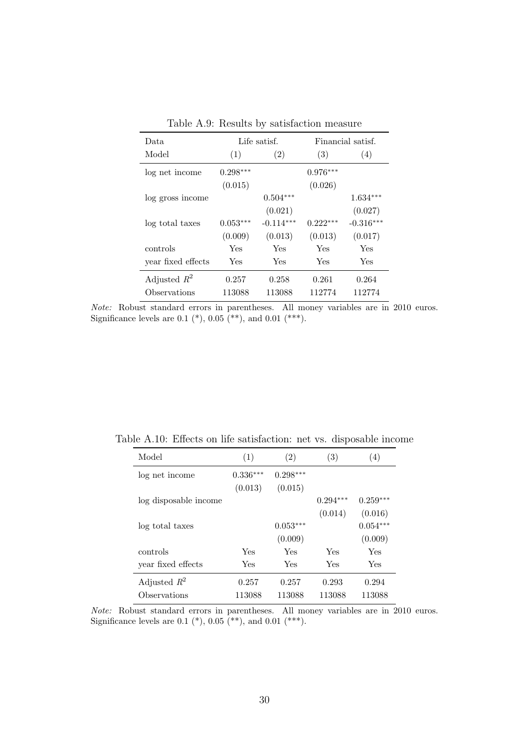| Data.              |            | Life satisf. |            | Financial satisf. |
|--------------------|------------|--------------|------------|-------------------|
| Model              | (1)        | (2)          | (3)        | (4)               |
| log net income     | $0.298***$ |              | $0.976***$ |                   |
|                    | (0.015)    |              | (0.026)    |                   |
| log gross income   |            | $0.504***$   |            | $1.634***$        |
|                    |            | (0.021)      |            | (0.027)           |
| log total taxes    | $0.053***$ | $-0.114***$  | $0.222***$ | $-0.316***$       |
|                    | (0.009)    | (0.013)      | (0.013)    | (0.017)           |
| controls           | Yes        | Yes          | Yes        | Yes               |
| year fixed effects | Yes        | Yes          | Yes        | Yes               |
| Adjusted $R^2$     | 0.257      | 0.258        | 0.261      | 0.264             |
| Observations       | 113088     | 113088       | 112774     | 112774            |

Table A.9: Results by satisfaction measure

Table A.10: Effects on life satisfaction: net vs. disposable income

| Model                 | (1)        | (2)        | (3)        | (4)        |
|-----------------------|------------|------------|------------|------------|
| log net income        | $0.336***$ | $0.298***$ |            |            |
|                       | (0.013)    | (0.015)    |            |            |
| log disposable income |            |            | $0.294***$ | $0.259***$ |
|                       |            |            | (0.014)    | (0.016)    |
| log total taxes       |            | $0.053***$ |            | $0.054***$ |
|                       |            | (0.009)    |            | (0.009)    |
| controls              | Yes        | Yes        | Yes        | Yes        |
| vear fixed effects    | Yes        | Yes        | Yes        | Yes        |
| Adjusted $R^2$        | 0.257      | 0.257      | 0.293      | 0.294      |
| Observations          | 113088     | 113088     | 113088     | 113088     |